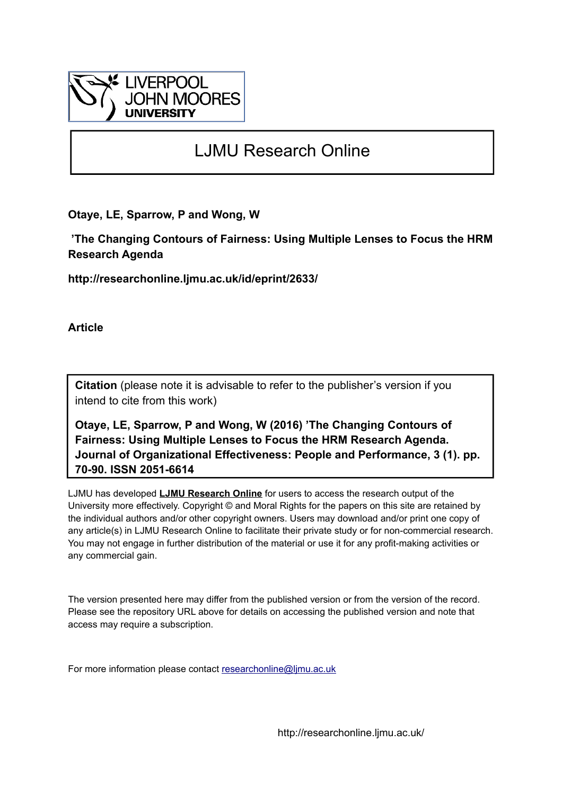

# LJMU Research Online

**Otaye, LE, Sparrow, P and Wong, W**

 **'The Changing Contours of Fairness: Using Multiple Lenses to Focus the HRM Research Agenda**

**http://researchonline.ljmu.ac.uk/id/eprint/2633/**

**Article**

**Citation** (please note it is advisable to refer to the publisher's version if you intend to cite from this work)

**Otaye, LE, Sparrow, P and Wong, W (2016) 'The Changing Contours of Fairness: Using Multiple Lenses to Focus the HRM Research Agenda. Journal of Organizational Effectiveness: People and Performance, 3 (1). pp. 70-90. ISSN 2051-6614** 

LJMU has developed **[LJMU Research Online](http://researchonline.ljmu.ac.uk/)** for users to access the research output of the University more effectively. Copyright © and Moral Rights for the papers on this site are retained by the individual authors and/or other copyright owners. Users may download and/or print one copy of any article(s) in LJMU Research Online to facilitate their private study or for non-commercial research. You may not engage in further distribution of the material or use it for any profit-making activities or any commercial gain.

The version presented here may differ from the published version or from the version of the record. Please see the repository URL above for details on accessing the published version and note that access may require a subscription.

For more information please contact [researchonline@ljmu.ac.uk](mailto:researchonline@ljmu.ac.uk)

http://researchonline.ljmu.ac.uk/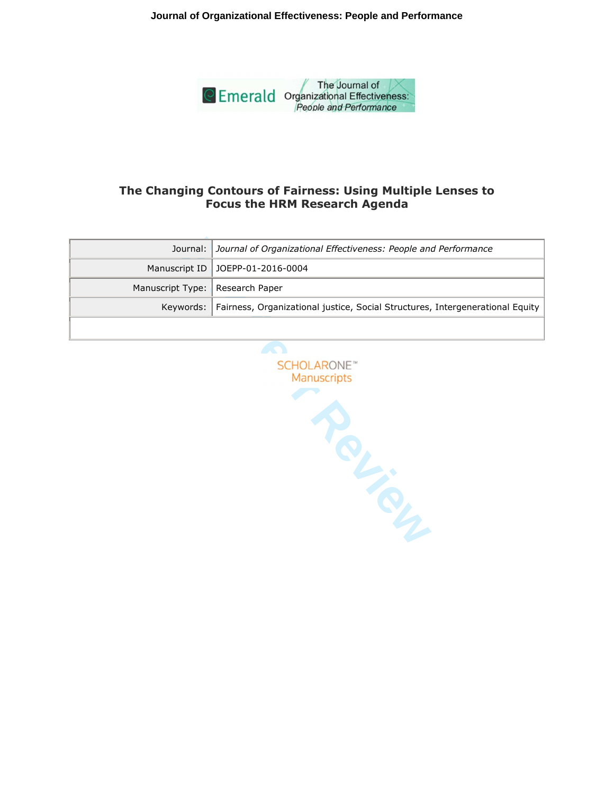**Journal of Organizational Effectiveness: People and Performance**



## **The Changing Contours of Fairness: Using Multiple Lenses to Focus the HRM Research Agenda**

|                                   | Journal: Journal of Organizational Effectiveness: People and Performance                  |
|-----------------------------------|-------------------------------------------------------------------------------------------|
|                                   | Manuscript ID   JOEPP-01-2016-0004                                                        |
| Manuscript Type:   Research Paper |                                                                                           |
|                                   | Keywords:   Fairness, Organizational justice, Social Structures, Intergenerational Equity |
|                                   |                                                                                           |

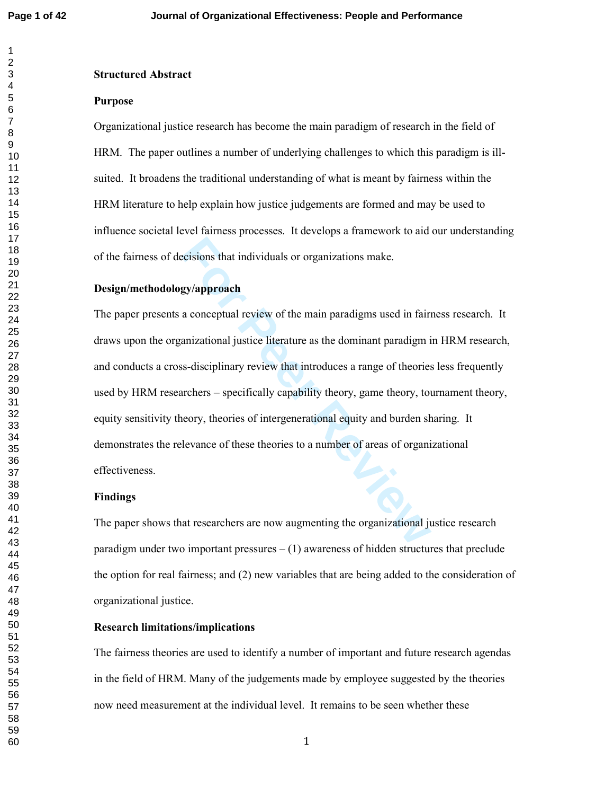#### **Structured Abstract**

#### **Purpose**

Organizational justice research has become the main paradigm of research in the field of HRM. The paper outlines a number of underlying challenges to which this paradigm is illsuited. It broadens the traditional understanding of what is meant by fairness within the HRM literature to help explain how justice judgements are formed and may be used to influence societal level fairness processes. It develops a framework to aid our understanding of the fairness of decisions that individuals or organizations make.

## **Design/methodology/approach**

**Example 12**<br>**Example 12**<br>**Example 12**<br>**Example 12**<br>**Example 12**<br>**Example 12**<br>**Example 12**<br>**Example 12**<br>**Example 12**<br>**Example 12**<br>**Example 12**<br>**Example 12**<br>**Example 12**<br>**Example 12**<br>**Example 12**<br>**Example 12**<br>**Example 12**<br> The paper presents a conceptual review of the main paradigms used in fairness research. It draws upon the organizational justice literature as the dominant paradigm in HRM research, and conducts a cross-disciplinary review that introduces a range of theories less frequently used by HRM researchers – specifically capability theory, game theory, tournament theory, equity sensitivity theory, theories of intergenerational equity and burden sharing. It demonstrates the relevance of these theories to a number of areas of organizational effectiveness.

## **Findings**

The paper shows that researchers are now augmenting the organizational justice research paradigm under two important pressures  $- (1)$  awareness of hidden structures that preclude the option for real fairness; and (2) new variables that are being added to the consideration of organizational justice.

#### **Research limitations/implications**

The fairness theories are used to identify a number of important and future research agendas in the field of HRM. Many of the judgements made by employee suggested by the theories now need measurement at the individual level. It remains to be seen whether these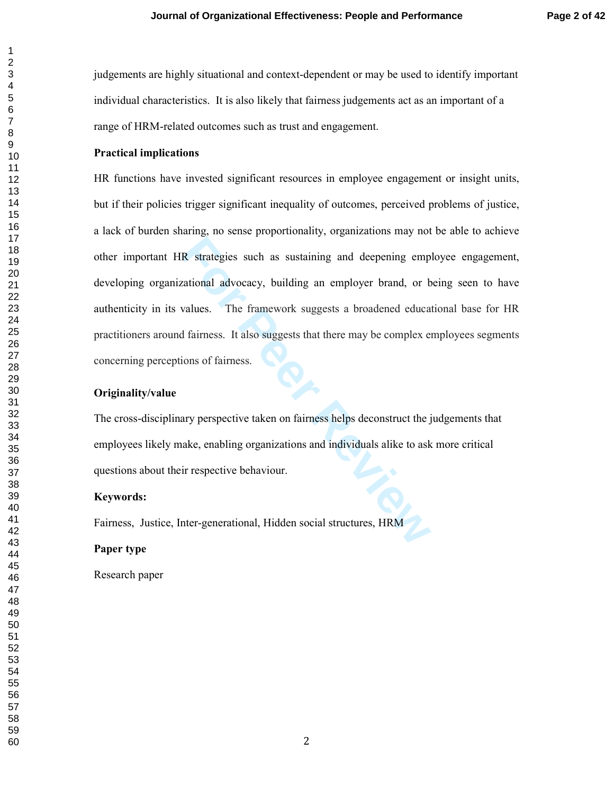judgements are highly situational and context-dependent or may be used to identify important individual characteristics. It is also likely that fairness judgements act as an important of a range of HRM-related outcomes such as trust and engagement.

#### **Practical implications**

**For all Assembes 2013** and deepening emperational advocacy, building an employer brand, or b<br>values. The framework suggests a broadened educar<br>d fairness. It also suggests that there may be complex enconsident<br>parameters. HR functions have invested significant resources in employee engagement or insight units, but if their policies trigger significant inequality of outcomes, perceived problems of justice, a lack of burden sharing, no sense proportionality, organizations may not be able to achieve other important HR strategies such as sustaining and deepening employee engagement, developing organizational advocacy, building an employer brand, or being seen to have authenticity in its values. The framework suggests a broadened educational base for HR practitioners around fairness. It also suggests that there may be complex employees segments concerning perceptions of fairness.

## **Originality/value**

The cross-disciplinary perspective taken on fairness helps deconstruct the judgements that employees likely make, enabling organizations and individuals alike to ask more critical questions about their respective behaviour.

#### **Keywords:**

Fairness, Justice, Inter-generational, Hidden social structures, HRM

## **Paper type**

Research paper

 $\mathbf{1}$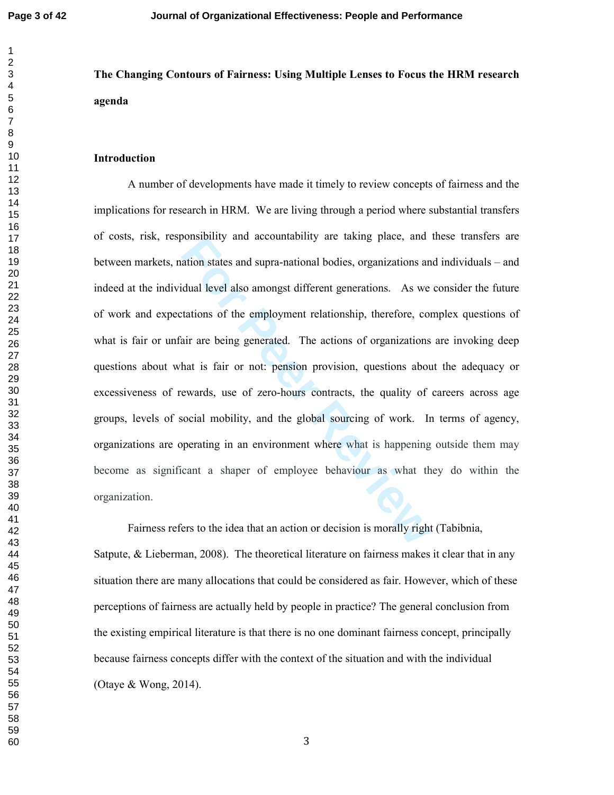$\mathbf{1}$  $\overline{2}$ 

**The Changing Contours of Fairness: Using Multiple Lenses to Focus the HRM research agenda** 

#### **Introduction**

For Persons and Supra-national bodies, organizations and<br> **For Persons and Supra-national bodies**, organizations and<br> **For Peer Reviewald Supramential different generations.** As we<br> **For Altions of the employment relations** A number of developments have made it timely to review concepts of fairness and the implications for research in HRM. We are living through a period where substantial transfers of costs, risk, responsibility and accountability are taking place, and these transfers are between markets, nation states and supra-national bodies, organizations and individuals – and indeed at the individual level also amongst different generations. As we consider the future of work and expectations of the employment relationship, therefore, complex questions of what is fair or unfair are being generated. The actions of organizations are invoking deep questions about what is fair or not: pension provision, questions about the adequacy or excessiveness of rewards, use of zero-hours contracts, the quality of careers across age groups, levels of social mobility, and the global sourcing of work. In terms of agency, organizations are operating in an environment where what is happening outside them may become as significant a shaper of employee behaviour as what they do within the organization.

Fairness refers to the idea that an action or decision is morally right (Tabibnia, Satpute,  $\&$  Lieberman, 2008). The theoretical literature on fairness makes it clear that in any situation there are many allocations that could be considered as fair. However, which of these perceptions of fairness are actually held by people in practice? The general conclusion from the existing empirical literature is that there is no one dominant fairness concept, principally because fairness concepts differ with the context of the situation and with the individual (Otaye & Wong, 2014).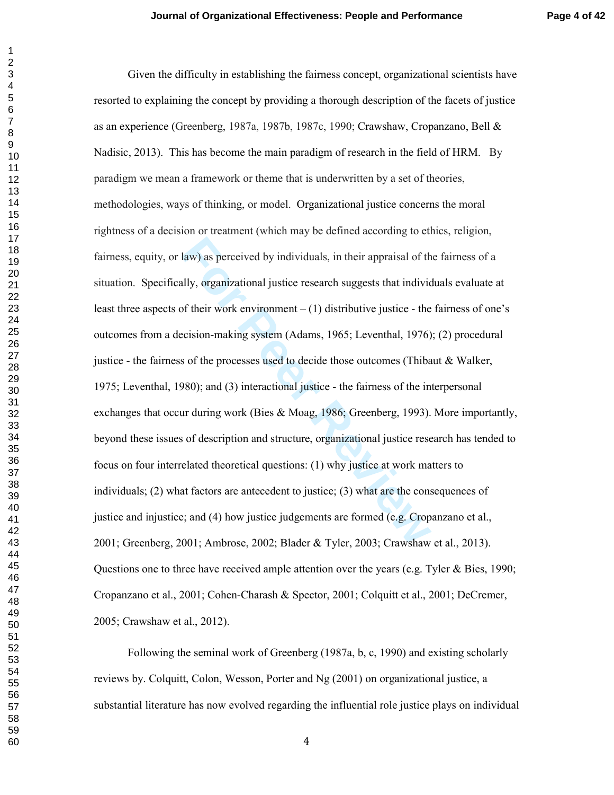law) as perceived by individuals, in their appraisal of the<br>Illy, organizational justice research suggests that individuals<br>of their work environment – (1) distributive justice - the<br>ecision-making system (Adams, 1965; Lev Given the difficulty in establishing the fairness concept, organizational scientists have resorted to explaining the concept by providing a thorough description of the facets of justice as an experience (Greenberg, 1987a, 1987b, 1987c, 1990; Crawshaw, Cropanzano, Bell & Nadisic, 2013). This has become the main paradigm of research in the field of HRM. By paradigm we mean a framework or theme that is underwritten by a set of theories, methodologies, ways of thinking, or model. Organizational justice concerns the moral rightness of a decision or treatment (which may be defined according to ethics, religion, fairness, equity, or law) as perceived by individuals, in their appraisal of the fairness of a situation. Specifically, organizational justice research suggests that individuals evaluate at least three aspects of their work environment  $- (1)$  distributive justice - the fairness of one's outcomes from a decision-making system (Adams, 1965; Leventhal, 1976); (2) procedural justice - the fairness of the processes used to decide those outcomes (Thibaut  $\&$  Walker, 1975; Leventhal, 1980); and (3) interactional justice - the fairness of the interpersonal exchanges that occur during work (Bies & Moag, 1986; Greenberg, 1993). More importantly, beyond these issues of description and structure, organizational justice research has tended to focus on four interrelated theoretical questions: (1) why justice at work matters to individuals; (2) what factors are antecedent to justice; (3) what are the consequences of justice and injustice; and (4) how justice judgements are formed (e.g. Cropanzano et al., 2001; Greenberg, 2001; Ambrose, 2002; Blader & Tyler, 2003; Crawshaw et al., 2013). Questions one to three have received ample attention over the years (e.g. Tyler & Bies, 1990; Cropanzano et al., 2001; Cohen-Charash & Spector, 2001; Colquitt et al., 2001; DeCremer, 2005; Crawshaw et al., 2012).

Following the seminal work of Greenberg (1987a, b, c, 1990) and existing scholarly reviews by. Colquitt, Colon, Wesson, Porter and Ng (2001) on organizational justice, a substantial literature has now evolved regarding the influential role justice plays on individual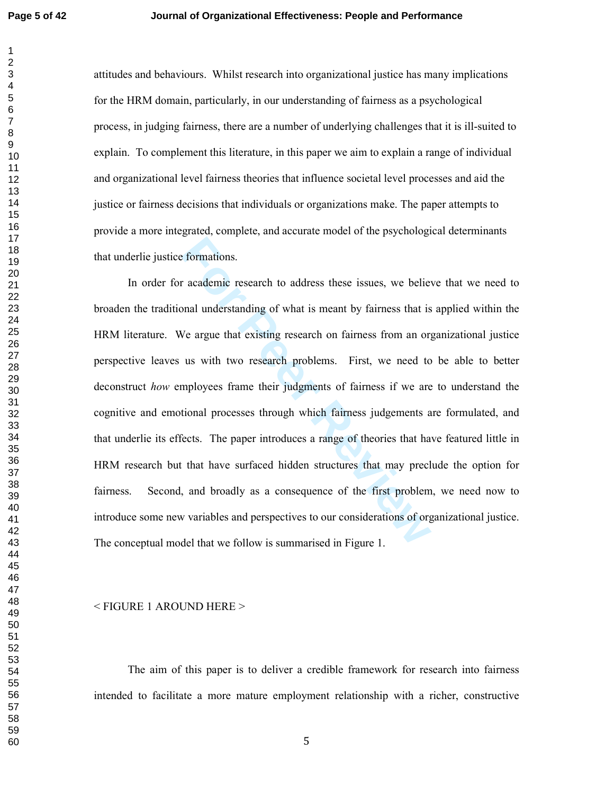attitudes and behaviours. Whilst research into organizational justice has many implications for the HRM domain, particularly, in our understanding of fairness as a psychological process, in judging fairness, there are a number of underlying challenges that it is ill-suited to explain. To complement this literature, in this paper we aim to explain a range of individual and organizational level fairness theories that influence societal level processes and aid the justice or fairness decisions that individuals or organizations make. The paper attempts to provide a more integrated, complete, and accurate model of the psychological determinants that underlie justice formations.

Formations.<br> **Formations** contract and the detectional understanding of what is meant by fairness that is<br> *Ne* argue that existing research on fairness from an oral<br>
us with two research problems. First, we need to<br>
mploy In order for academic research to address these issues, we believe that we need to broaden the traditional understanding of what is meant by fairness that is applied within the HRM literature. We argue that existing research on fairness from an organizational justice perspective leaves us with two research problems. First, we need to be able to better deconstruct *how* employees frame their judgments of fairness if we are to understand the cognitive and emotional processes through which fairness judgements are formulated, and that underlie its effects. The paper introduces a range of theories that have featured little in HRM research but that have surfaced hidden structures that may preclude the option for fairness. Second, and broadly as a consequence of the first problem, we need now to introduce some new variables and perspectives to our considerations of organizational justice. The conceptual model that we follow is summarised in Figure 1.

#### < FIGURE 1 AROUND HERE >

The aim of this paper is to deliver a credible framework for research into fairness intended to facilitate a more mature employment relationship with a richer, constructive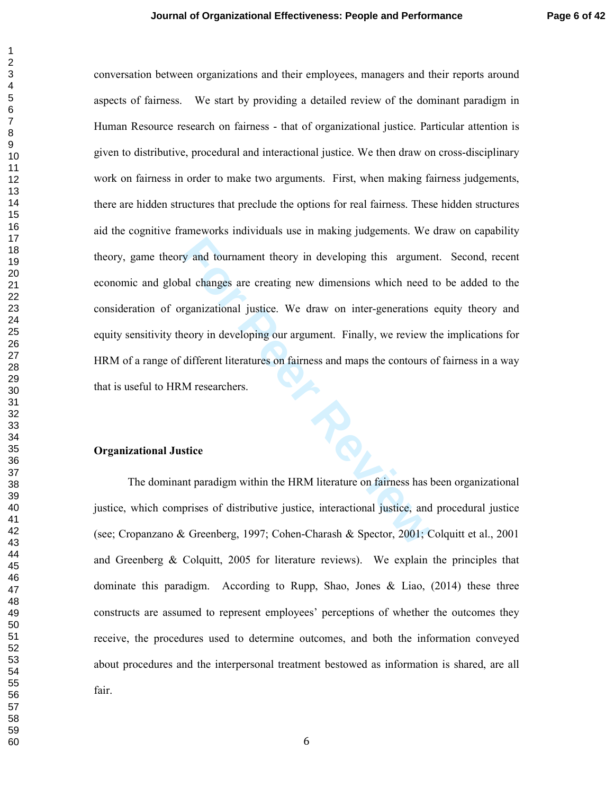For an interactional theory in developing this argument<br>
For all changes are creating new dimensions which need<br>
Francizational justice. We draw on inter-generations<br>
heory in developing our argument. Finally, we review t conversation between organizations and their employees, managers and their reports around aspects of fairness. We start by providing a detailed review of the dominant paradigm in Human Resource research on fairness - that of organizational justice. Particular attention is given to distributive, procedural and interactional justice. We then draw on cross-disciplinary work on fairness in order to make two arguments. First, when making fairness judgements, there are hidden structures that preclude the options for real fairness. These hidden structures aid the cognitive frameworks individuals use in making judgements. We draw on capability theory, game theory and tournament theory in developing this argument. Second, recent economic and global changes are creating new dimensions which need to be added to the consideration of organizational justice. We draw on inter-generations equity theory and equity sensitivity theory in developing our argument. Finally, we review the implications for HRM of a range of different literatures on fairness and maps the contours of fairness in a way that is useful to HRM researchers.

#### **Organizational Justice**

The dominant paradigm within the HRM literature on fairness has been organizational justice, which comprises of distributive justice, interactional justice, and procedural justice (see; Cropanzano & Greenberg, 1997; Cohen-Charash & Spector, 2001; Colquitt et al., 2001 and Greenberg & Colquitt, 2005 for literature reviews). We explain the principles that dominate this paradigm. According to Rupp, Shao, Jones  $\&$  Liao, (2014) these three constructs are assumed to represent employees' perceptions of whether the outcomes they receive, the procedures used to determine outcomes, and both the information conveyed about procedures and the interpersonal treatment bestowed as information is shared, are all fair.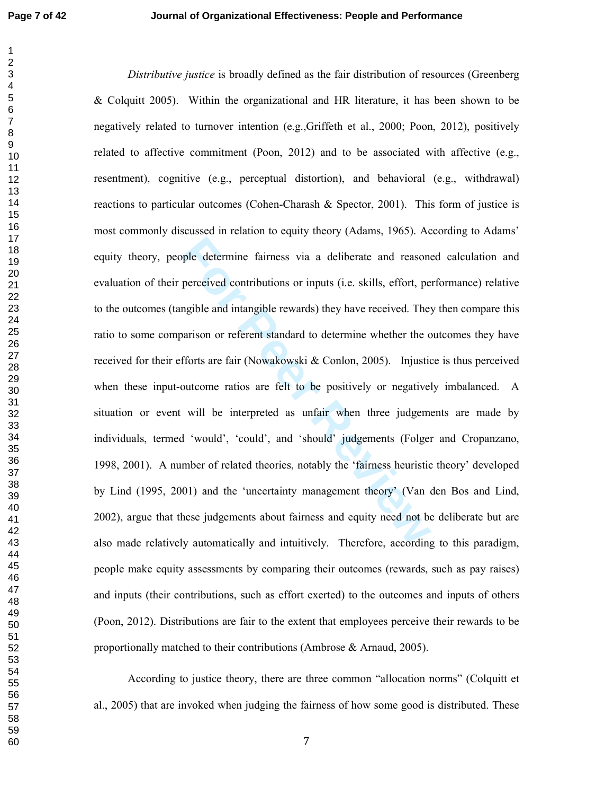ple determine fairness via a deliberate and reasons<br>perceived contributions or inputs (i.e. skills, effort, pe<br>ngible and intangible rewards) they have received. The<br>narison or referent standard to determine whether the of *Distributive justice* is broadly defined as the fair distribution of resources (Greenberg & Colquitt 2005). Within the organizational and HR literature, it has been shown to be negatively related to turnover intention (e.g.,Griffeth et al., 2000; Poon, 2012), positively related to affective commitment (Poon, 2012) and to be associated with affective  $(e.g.,)$ resentment), cognitive (e.g., perceptual distortion), and behavioral (e.g., withdrawal) reactions to particular outcomes (Cohen-Charash & Spector, 2001). This form of justice is most commonly discussed in relation to equity theory (Adams, 1965). According to Adams' equity theory, people determine fairness via a deliberate and reasoned calculation and evaluation of their perceived contributions or inputs (i.e. skills, effort, performance) relative to the outcomes (tangible and intangible rewards) they have received. They then compare this ratio to some comparison or referent standard to determine whether the outcomes they have received for their efforts are fair (Nowakowski & Conlon, 2005). Injustice is thus perceived when these input-outcome ratios are felt to be positively or negatively imbalanced. A situation or event will be interpreted as unfair when three judgements are made by individuals, termed 'would', 'could', and 'should' judgements (Folger and Cropanzano, 1998, 2001). A number of related theories, notably the 'fairness heuristic theory' developed by Lind (1995, 2001) and the 'uncertainty management theory' (Van den Bos and Lind, 2002), argue that these judgements about fairness and equity need not be deliberate but are also made relatively automatically and intuitively. Therefore, according to this paradigm, people make equity assessments by comparing their outcomes (rewards, such as pay raises) and inputs (their contributions, such as effort exerted) to the outcomes and inputs of others (Poon, 2012). Distributions are fair to the extent that employees perceive their rewards to be proportionally matched to their contributions (Ambrose & Arnaud, 2005).

According to justice theory, there are three common "allocation norms" (Colquitt et al., 2005) that are invoked when judging the fairness of how some good is distributed. These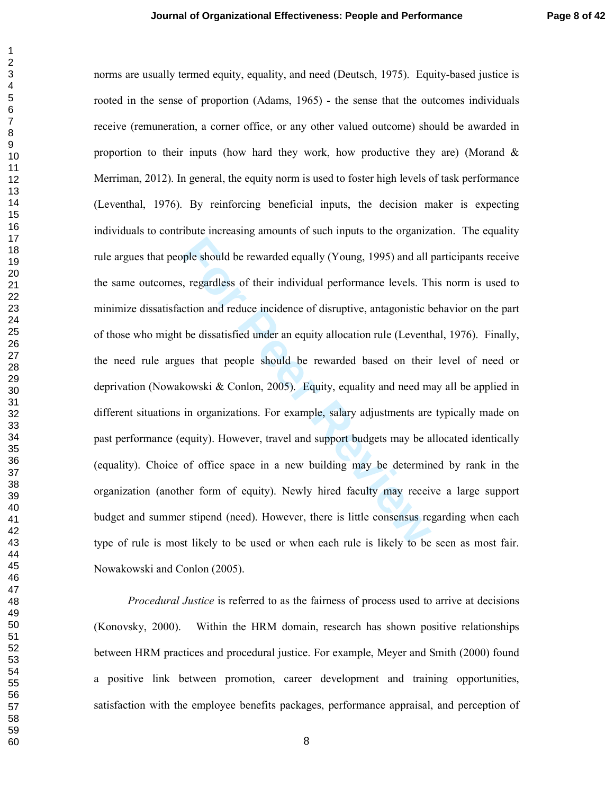For Providingle should be rewarded equally (Young, 1995) and all is, regardless of their individual performance levels. The tion and reduce incidence of disruptive, antagonistic b be dissatisfied under an equity allocation norms are usually termed equity, equality, and need (Deutsch, 1975). Equity-based justice is rooted in the sense of proportion (Adams, 1965) - the sense that the outcomes individuals receive (remuneration, a corner office, or any other valued outcome) should be awarded in proportion to their inputs (how hard they work, how productive they are) (Morand  $\&$ Merriman, 2012). In general, the equity norm is used to foster high levels of task performance (Leventhal, 1976). By reinforcing beneficial inputs, the decision maker is expecting individuals to contribute increasing amounts of such inputs to the organization. The equality rule argues that people should be rewarded equally (Young, 1995) and all participants receive the same outcomes, regardless of their individual performance levels. This norm is used to minimize dissatisfaction and reduce incidence of disruptive, antagonistic behavior on the part of those who might be dissatisfied under an equity allocation rule (Leventhal, 1976). Finally, the need rule argues that people should be rewarded based on their level of need or deprivation (Nowakowski & Conlon, 2005). Equity, equality and need may all be applied in different situations in organizations. For example, salary adjustments are typically made on past performance (equity). However, travel and support budgets may be allocated identically (equality). Choice of office space in a new building may be determined by rank in the organization (another form of equity). Newly hired faculty may receive a large support budget and summer stipend (need). However, there is little consensus regarding when each type of rule is most likely to be used or when each rule is likely to be seen as most fair. Nowakowski and Conlon (2005).

*Procedural Justice* is referred to as the fairness of process used to arrive at decisions (Konovsky, 2000). Within the HRM domain, research has shown positive relationships between HRM practices and procedural justice. For example, Meyer and Smith (2000) found a positive link between promotion, career development and training opportunities, satisfaction with the employee benefits packages, performance appraisal, and perception of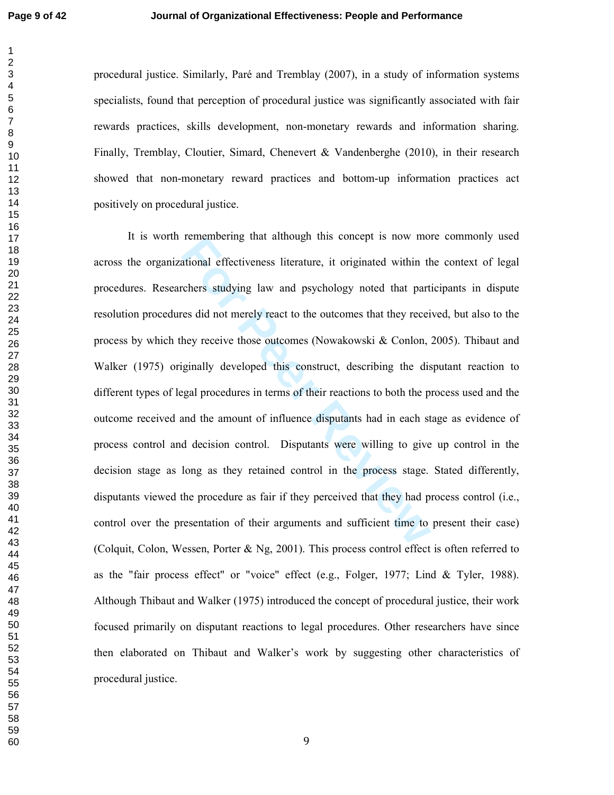procedural justice. Similarly, Paré and Tremblay (2007), in a study of information systems specialists, found that perception of procedural justice was significantly associated with fair rewards practices, skills development, non-monetary rewards and information sharing. Finally, Tremblay, Cloutier, Simard, Chenevert & Vandenberghe (2010), in their research showed that non-monetary reward practices and bottom-up information practices act positively on procedural justice.

Fermenting that antiough this concept is now motional effectiveness literature, it originated within the chers studying law and psychology noted that part es did not merely react to the outcomes that they receive those out It is worth remembering that although this concept is now more commonly used across the organizational effectiveness literature, it originated within the context of legal procedures. Researchers studying law and psychology noted that participants in dispute resolution procedures did not merely react to the outcomes that they received, but also to the process by which they receive those outcomes (Nowakowski  $\&$  Conlon, 2005). Thibaut and Walker (1975) originally developed this construct, describing the disputant reaction to different types of legal procedures in terms of their reactions to both the process used and the outcome received and the amount of influence disputants had in each stage as evidence of process control and decision control. Disputants were willing to give up control in the decision stage as long as they retained control in the process stage. Stated differently, disputants viewed the procedure as fair if they perceived that they had process control (i.e., control over the presentation of their arguments and sufficient time to present their case) (Colquit, Colon, Wessen, Porter & Ng, 2001). This process control effect is often referred to as the "fair process effect" or "voice" effect (e.g., Folger, 1977; Lind & Tyler, 1988). Although Thibaut and Walker (1975) introduced the concept of procedural justice, their work focused primarily on disputant reactions to legal procedures. Other researchers have since then elaborated on Thibaut and Walker's work by suggesting other characteristics of procedural justice.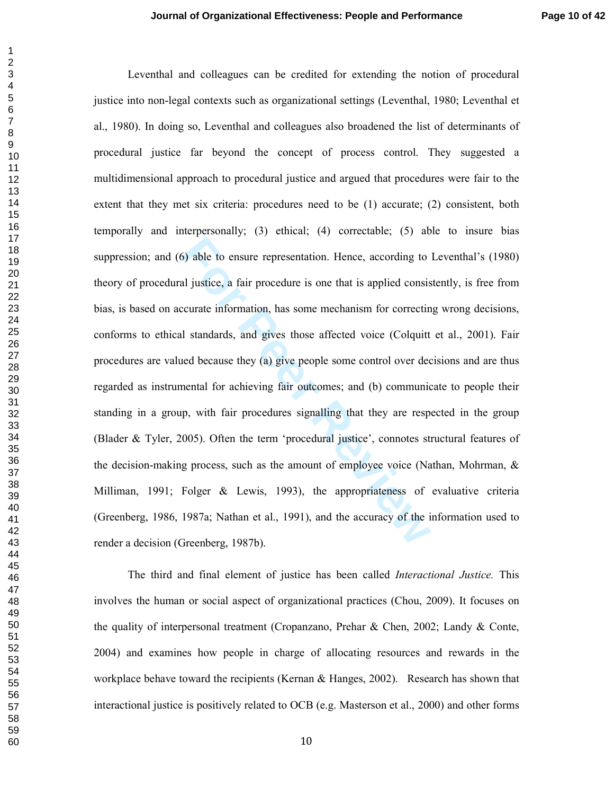**Follow Exercise Solution**. Hence, according to al justice, a fair procedure is one that is applied consiscurate information, has some mechanism for correctin I standards, and gives those affected voice (Colquitt led beca Leventhal and colleagues can be credited for extending the notion of procedural justice into non-legal contexts such as organizational settings (Leventhal, 1980; Leventhal et al., 1980). In doing so, Leventhal and colleagues also broadened the list of determinants of procedural justice far beyond the concept of process control. They suggested a multidimensional approach to procedural justice and argued that procedures were fair to the extent that they met six criteria: procedures need to be (1) accurate; (2) consistent, both temporally and interpersonally; (3) ethical; (4) correctable; (5) able to insure bias suppression; and (6) able to ensure representation. Hence, according to Leventhal's (1980) theory of procedural justice, a fair procedure is one that is applied consistently, is free from bias, is based on accurate information, has some mechanism for correcting wrong decisions, conforms to ethical standards, and gives those affected voice (Colquitt et al., 2001). Fair procedures are valued because they (a) give people some control over decisions and are thus regarded as instrumental for achieving fair outcomes; and (b) communicate to people their standing in a group, with fair procedures signalling that they are respected in the group (Blader & Tyler, 2005). Often the term 'procedural justice', connotes structural features of the decision-making process, such as the amount of employee voice (Nathan, Mohrman, & Milliman, 1991; Folger & Lewis, 1993), the appropriateness of evaluative criteria (Greenberg, 1986, 1987a; Nathan et al., 1991), and the accuracy of the information used to render a decision (Greenberg, 1987b).

The third and final element of justice has been called *Interactional Justice.* This involves the human or social aspect of organizational practices (Chou, 2009). It focuses on the quality of interpersonal treatment (Cropanzano, Prehar & Chen, 2002; Landy & Conte, 2004) and examines how people in charge of allocating resources and rewards in the workplace behave toward the recipients (Kernan & Hanges, 2002). Research has shown that interactional justice is positively related to OCB (e.g. Masterson et al., 2000) and other forms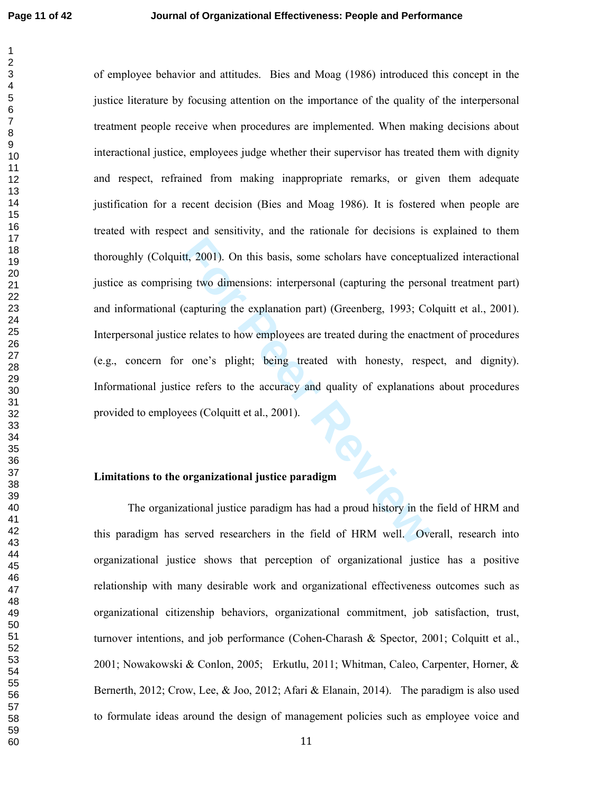tt, 2001). On this basis, some scholars have conceptung two dimensions: interpersonal (capturing the perso (capturing the explanation part) (Greenberg, 1993; Co e relates to how employees are treated during the enact rone' of employee behavior and attitudes. Bies and Moag (1986) introduced this concept in the justice literature by focusing attention on the importance of the quality of the interpersonal treatment people receive when procedures are implemented. When making decisions about interactional justice, employees judge whether their supervisor has treated them with dignity and respect, refrained from making inappropriate remarks, or given them adequate justification for a recent decision (Bies and Moag 1986). It is fostered when people are treated with respect and sensitivity, and the rationale for decisions is explained to them thoroughly (Colquitt, 2001). On this basis, some scholars have conceptualized interactional justice as comprising two dimensions: interpersonal (capturing the personal treatment part) and informational (capturing the explanation part) (Greenberg, 1993; Colquitt et al., 2001). Interpersonal justice relates to how employees are treated during the enactment of procedures (e.g., concern for one's plight; being treated with honesty, respect, and dignity). Informational justice refers to the accuracy and quality of explanations about procedures provided to employees (Colquitt et al., 2001).

## **Limitations to the organizational justice paradigm**

The organizational justice paradigm has had a proud history in the field of HRM and this paradigm has served researchers in the field of HRM well. Overall, research into organizational justice shows that perception of organizational justice has a positive relationship with many desirable work and organizational effectiveness outcomes such as organizational citizenship behaviors, organizational commitment, job satisfaction, trust, turnover intentions, and job performance (Cohen-Charash & Spector, 2001; Colquitt et al., 2001; Nowakowski & Conlon, 2005; Erkutlu, 2011; Whitman, Caleo, Carpenter, Horner, & Bernerth, 2012; Crow, Lee, & Joo, 2012; Afari & Elanain, 2014). The paradigm is also used to formulate ideas around the design of management policies such as employee voice and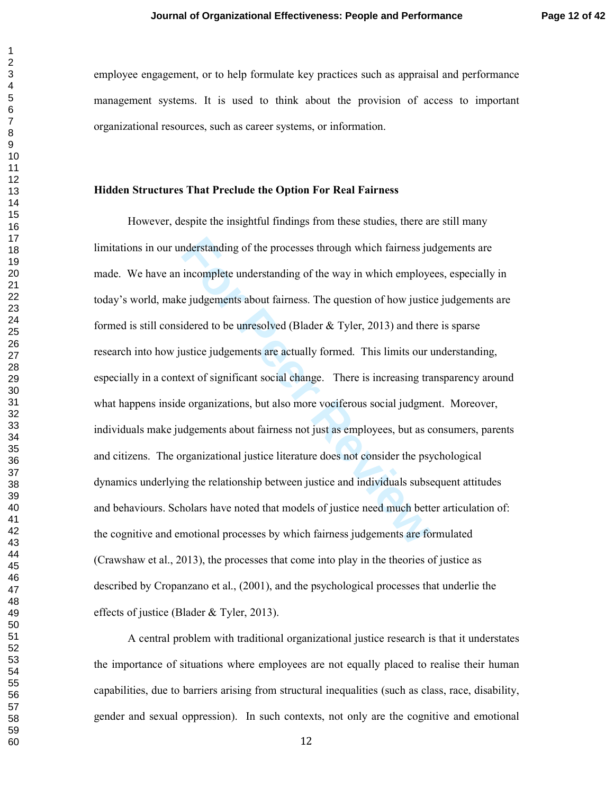employee engagement, or to help formulate key practices such as appraisal and performance management systems. It is used to think about the provision of access to important organizational resources, such as career systems, or information.

#### **Hidden Structures That Preclude the Option For Real Fairness**

nderstanding of the processes through which fairness ju<br>incomplete understanding of the way in which employe<br>e judgements about fairness. The question of how justic<br>idered to be unresolved (Blader & Tyler, 2013) and then<br>u However, despite the insightful findings from these studies, there are still many limitations in our understanding of the processes through which fairness judgements are made. We have an incomplete understanding of the way in which employees, especially in today's world, make judgements about fairness. The question of how justice judgements are formed is still considered to be unresolved (Blader & Tyler, 2013) and there is sparse research into how justice judgements are actually formed. This limits our understanding, especially in a context of significant social change. There is increasing transparency around what happens inside organizations, but also more vociferous social judgment. Moreover, individuals make judgements about fairness not just as employees, but as consumers, parents and citizens. The organizational justice literature does not consider the psychological dynamics underlying the relationship between justice and individuals subsequent attitudes and behaviours. Scholars have noted that models of justice need much better articulation of: the cognitive and emotional processes by which fairness judgements are formulated (Crawshaw et al., 2013), the processes that come into play in the theories of justice as described by Cropanzano et al., (2001), and the psychological processes that underlie the effects of justice (Blader & Tyler, 2013).

A central problem with traditional organizational justice research is that it understates the importance of situations where employees are not equally placed to realise their human capabilities, due to barriers arising from structural inequalities (such as class, race, disability, gender and sexual oppression). In such contexts, not only are the cognitive and emotional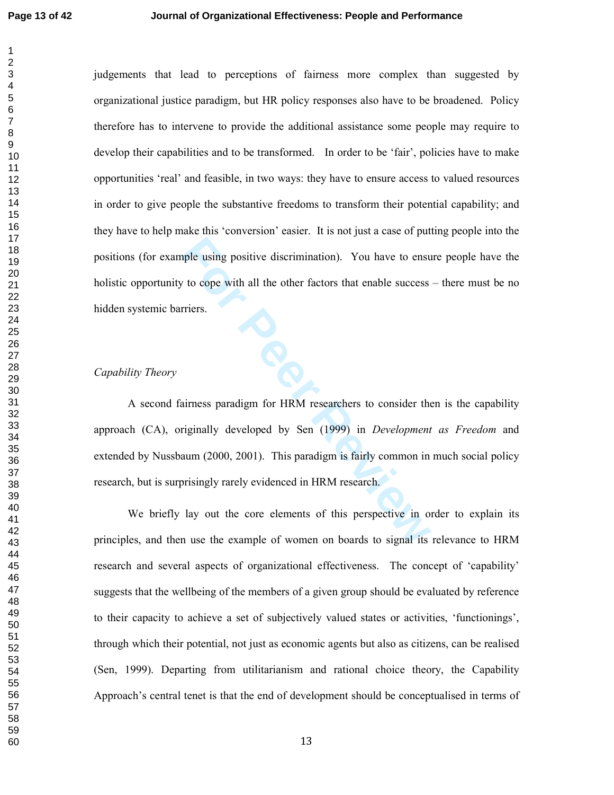$\mathbf{1}$  $\overline{2}$ 

judgements that lead to perceptions of fairness more complex than suggested by organizational justice paradigm, but HR policy responses also have to be broadened. Policy therefore has to intervene to provide the additional assistance some people may require to develop their capabilities and to be transformed. In order to be 'fair', policies have to make opportunities 'real' and feasible, in two ways: they have to ensure access to valued resources in order to give people the substantive freedoms to transform their potential capability; and they have to help make this 'conversion' easier. It is not just a case of putting people into the positions (for example using positive discrimination). You have to ensure people have the holistic opportunity to cope with all the other factors that enable success – there must be no hidden systemic barriers.

## *Capability Theory*

For Peer Review and the other factors that enable success<br>
Friers.<br>
Friers.<br> **For Peer Review and the other factors that enable success**<br>
Friers.<br> **For Peer Review Arection**<br> **For PEA EXECUTE:**<br> **For PEA EXECUTE:**<br> **FOR PE** A second fairness paradigm for HRM researchers to consider then is the capability approach (CA), originally developed by Sen (1999) in *Development as Freedom* and extended by Nussbaum (2000, 2001). This paradigm is fairly common in much social policy research, but is surprisingly rarely evidenced in HRM research.

We briefly lay out the core elements of this perspective in order to explain its principles, and then use the example of women on boards to signal its relevance to HRM research and several aspects of organizational effectiveness. The concept of 'capability' suggests that the wellbeing of the members of a given group should be evaluated by reference to their capacity to achieve a set of subjectively valued states or activities, 'functionings', through which their potential, not just as economic agents but also as citizens, can be realised (Sen, 1999). Departing from utilitarianism and rational choice theory, the Capability Approach's central tenet is that the end of development should be conceptualised in terms of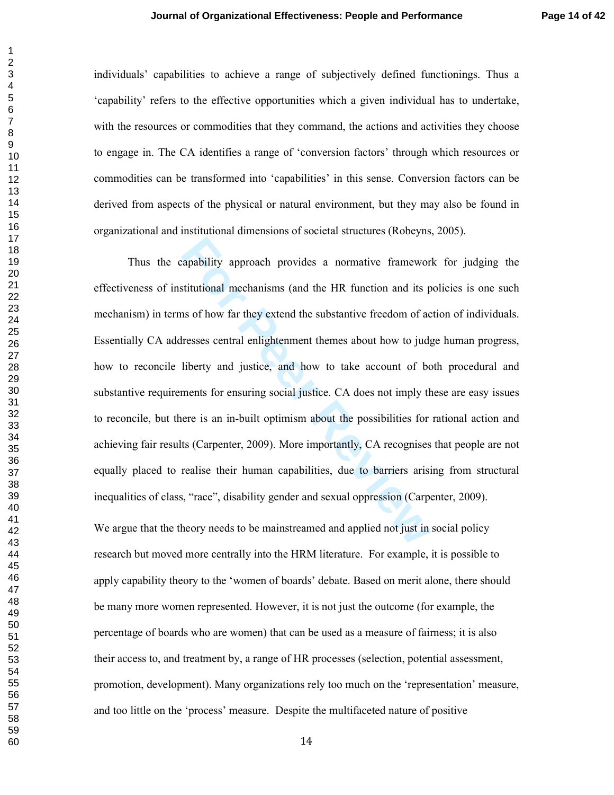individuals' capabilities to achieve a range of subjectively defined functionings. Thus a 'capability' refers to the effective opportunities which a given individual has to undertake, with the resources or commodities that they command, the actions and activities they choose to engage in. The CA identifies a range of 'conversion factors' through which resources or commodities can be transformed into 'capabilities' in this sense. Conversion factors can be derived from aspects of the physical or natural environment, but they may also be found in organizational and institutional dimensions of societal structures (Robeyns, 2005).

reapability approach provides a normative framewor<br> **Exity Exercutional mechanisms** (and the HR function and its p<br>
as of how far they extend the substantive freedom of ac<br> **Fresses central enlightenment themes about how t** Thus the capability approach provides a normative framework for judging the effectiveness of institutional mechanisms (and the HR function and its policies is one such mechanism) in terms of how far they extend the substantive freedom of action of individuals. Essentially CA addresses central enlightenment themes about how to judge human progress, how to reconcile liberty and justice, and how to take account of both procedural and substantive requirements for ensuring social justice. CA does not imply these are easy issues to reconcile, but there is an in-built optimism about the possibilities for rational action and achieving fair results (Carpenter, 2009). More importantly, CA recognises that people are not equally placed to realise their human capabilities, due to barriers arising from structural inequalities of class, "race", disability gender and sexual oppression (Carpenter, 2009).

We argue that the theory needs to be mainstreamed and applied not just in social policy research but moved more centrally into the HRM literature. For example, it is possible to apply capability theory to the 'women of boards' debate. Based on merit alone, there should be many more women represented. However, it is not just the outcome (for example, the percentage of boards who are women) that can be used as a measure of fairness; it is also their access to, and treatment by, a range of HR processes (selection, potential assessment, promotion, development). Many organizations rely too much on the 'representation' measure, and too little on the 'process' measure. Despite the multifaceted nature of positive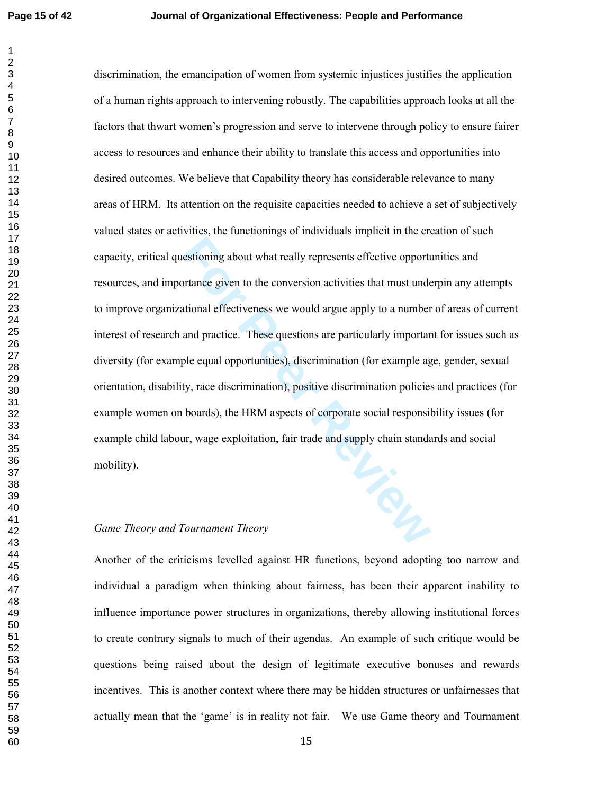restioning about what really represents effective opportunities that must under<br>protonance given to the conversion activities that must under<br>and practice. These questions are particularly importar<br>ple equal opportunities) discrimination, the emancipation of women from systemic injustices justifies the application of a human rights approach to intervening robustly. The capabilities approach looks at all the factors that thwart women's progression and serve to intervene through policy to ensure fairer access to resources and enhance their ability to translate this access and opportunities into desired outcomes. We believe that Capability theory has considerable relevance to many areas of HRM. Its attention on the requisite capacities needed to achieve a set of subjectively valued states or activities, the functionings of individuals implicit in the creation of such capacity, critical questioning about what really represents effective opportunities and resources, and importance given to the conversion activities that must underpin any attempts to improve organizational effectiveness we would argue apply to a number of areas of current interest of research and practice. These questions are particularly important for issues such as diversity (for example equal opportunities), discrimination (for example age, gender, sexual orientation, disability, race discrimination), positive discrimination policies and practices (for example women on boards), the HRM aspects of corporate social responsibility issues (for example child labour, wage exploitation, fair trade and supply chain standards and social mobility).

## *Game Theory and Tournament Theory*

Another of the criticisms levelled against HR functions, beyond adopting too narrow and individual a paradigm when thinking about fairness, has been their apparent inability to influence importance power structures in organizations, thereby allowing institutional forces to create contrary signals to much of their agendas. An example of such critique would be questions being raised about the design of legitimate executive bonuses and rewards incentives. This is another context where there may be hidden structures or unfairnesses that actually mean that the 'game' is in reality not fair. We use Game theory and Tournament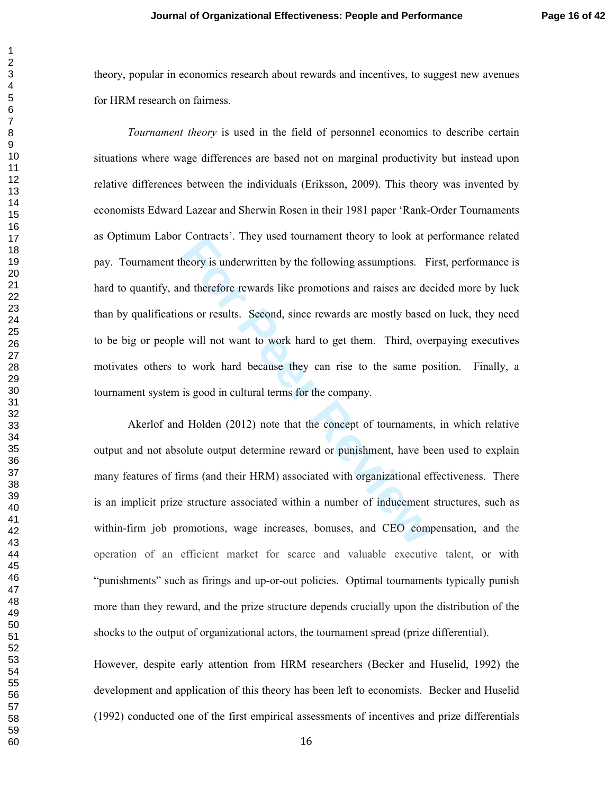theory, popular in economics research about rewards and incentives, to suggest new avenues for HRM research on fairness.

Contracts . They used tournament theory to look at p<br>heory is underwritten by the following assumptions. F<br>more therefore rewards like promotions and raises are dee<br>ons or results. Second, since rewards are mostly based<br>e *Tournament theory* is used in the field of personnel economics to describe certain situations where wage differences are based not on marginal productivity but instead upon relative differences between the individuals (Eriksson, 2009). This theory was invented by economists Edward Lazear and Sherwin Rosen in their 1981 paper 'Rank-Order Tournaments as Optimum Labor Contracts'. They used tournament theory to look at performance related pay. Tournament theory is underwritten by the following assumptions. First, performance is hard to quantify, and therefore rewards like promotions and raises are decided more by luck than by qualifications or results. Second, since rewards are mostly based on luck, they need to be big or people will not want to work hard to get them. Third, overpaying executives motivates others to work hard because they can rise to the same position. Finally, a tournament system is good in cultural terms for the company.

Akerlof and Holden (2012) note that the concept of tournaments, in which relative output and not absolute output determine reward or punishment, have been used to explain many features of firms (and their HRM) associated with organizational effectiveness. There is an implicit prize structure associated within a number of inducement structures, such as within-firm job promotions, wage increases, bonuses, and CEO compensation, and the operation of an efficient market for scarce and valuable executive talent, or with "punishments" such as firings and up-or-out policies. Optimal tournaments typically punish more than they reward, and the prize structure depends crucially upon the distribution of the shocks to the output of organizational actors, the tournament spread (prize differential).

However, despite early attention from HRM researchers (Becker and Huselid, 1992) the development and application of this theory has been left to economists. Becker and Huselid (1992) conducted one of the first empirical assessments of incentives and prize differentials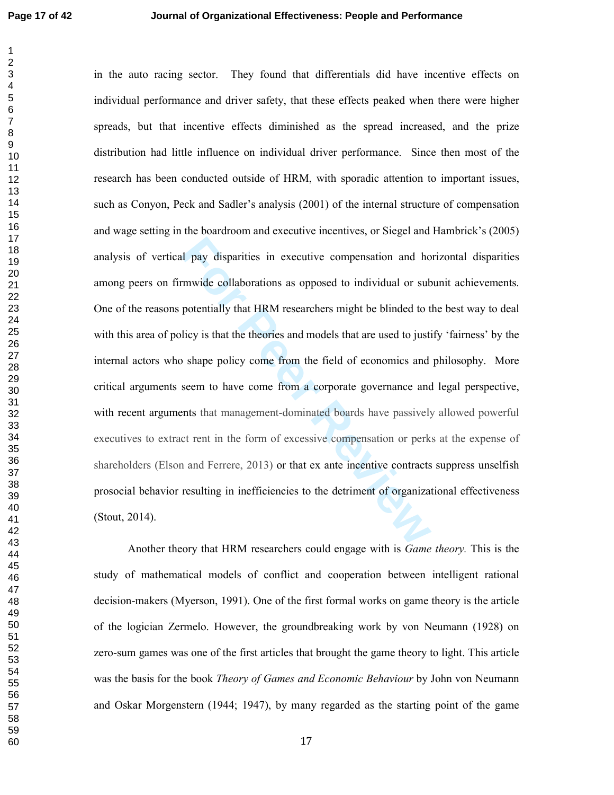If pay disparities in executive compensation and homowide collaborations as opposed to individual or subpotentially that HRM researchers might be blinded to the lively is that the theories and models that are used to justi in the auto racing sector. They found that differentials did have incentive effects on individual performance and driver safety, that these effects peaked when there were higher spreads, but that incentive effects diminished as the spread increased, and the prize distribution had little influence on individual driver performance. Since then most of the research has been conducted outside of HRM, with sporadic attention to important issues, such as Conyon, Peck and Sadler's analysis (2001) of the internal structure of compensation and wage setting in the boardroom and executive incentives, or Siegel and Hambrick's (2005) analysis of vertical pay disparities in executive compensation and horizontal disparities among peers on firmwide collaborations as opposed to individual or subunit achievements. One of the reasons potentially that HRM researchers might be blinded to the best way to deal with this area of policy is that the theories and models that are used to justify 'fairness' by the internal actors who shape policy come from the field of economics and philosophy. More critical arguments seem to have come from a corporate governance and legal perspective, with recent arguments that management-dominated boards have passively allowed powerful executives to extract rent in the form of excessive compensation or perks at the expense of shareholders (Elson and Ferrere, 2013) or that ex ante incentive contracts suppress unselfish prosocial behavior resulting in inefficiencies to the detriment of organizational effectiveness (Stout, 2014).

Another theory that HRM researchers could engage with is *Game theory.* This is the study of mathematical models of conflict and cooperation between intelligent rational decision-makers (Myerson, 1991). One of the first formal works on game theory is the article of the logician Zermelo. However, the groundbreaking work by von Neumann (1928) on zero-sum games was one of the first articles that brought the game theory to light. This article was the basis for the book *Theory of Games and Economic Behaviour* by John von Neumann and Oskar Morgenstern (1944; 1947), by many regarded as the starting point of the game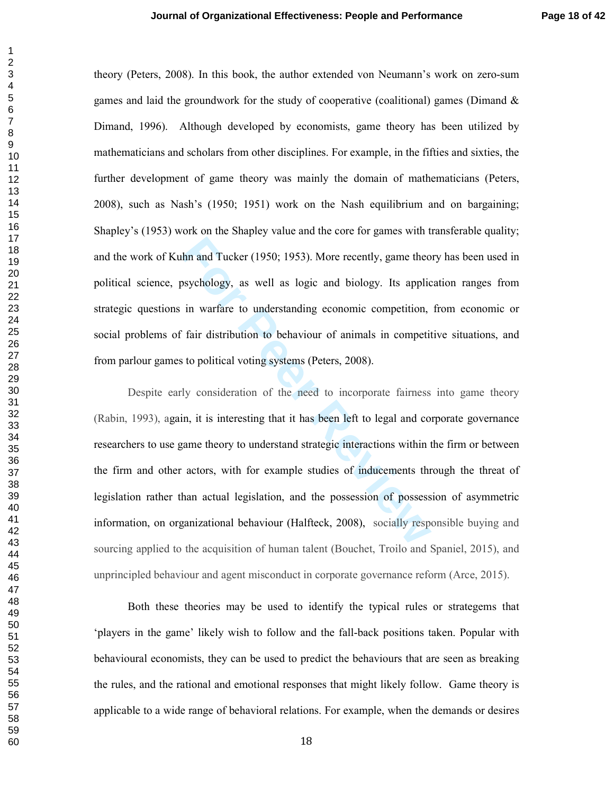theory (Peters, 2008). In this book, the author extended von Neumann's work on zero-sum games and laid the groundwork for the study of cooperative (coalitional) games (Dimand  $\&$ Dimand, 1996). Although developed by economists, game theory has been utilized by mathematicians and scholars from other disciplines. For example, in the fifties and sixties, the further development of game theory was mainly the domain of mathematicians (Peters, 2008), such as Nash's (1950; 1951) work on the Nash equilibrium and on bargaining; Shapley's (1953) work on the Shapley value and the core for games with transferable quality; and the work of Kuhn and Tucker (1950; 1953). More recently, game theory has been used in political science, psychology, as well as logic and biology. Its application ranges from strategic questions in warfare to understanding economic competition, from economic or social problems of fair distribution to behaviour of animals in competitive situations, and from parlour games to political voting systems (Peters, 2008).

the and Tucker (1950; 1953). More recently, game theo<br>
sychology, as well as logic and biology. Its applic<br>
in warfare to understanding economic competition,<br>
fair distribution to behaviour of animals in competit<br>
sto poli Despite early consideration of the need to incorporate fairness into game theory (Rabin, 1993), again, it is interesting that it has been left to legal and corporate governance researchers to use game theory to understand strategic interactions within the firm or between the firm and other actors, with for example studies of inducements through the threat of legislation rather than actual legislation, and the possession of possession of asymmetric information, on organizational behaviour (Halfteck, 2008), socially responsible buying and sourcing applied to the acquisition of human talent (Bouchet, Troilo and Spaniel, 2015), and unprincipled behaviour and agent misconduct in corporate governance reform (Arce, 2015).

Both these theories may be used to identify the typical rules or strategems that 'players in the game' likely wish to follow and the fall-back positions taken. Popular with behavioural economists, they can be used to predict the behaviours that are seen as breaking the rules, and the rational and emotional responses that might likely follow. Game theory is applicable to a wide range of behavioral relations. For example, when the demands or desires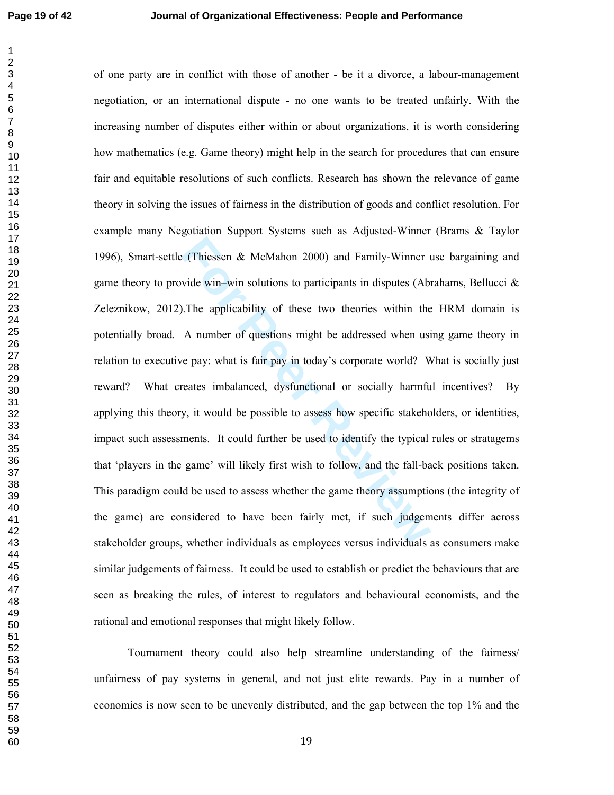The **Formular Concept Contains Contains** (Thiessen & McMahon 2000) and Family-Winner vide win—win solutions to participants in disputes (Ab).<br>The applicability of these two theories within the A number of questions might b of one party are in conflict with those of another - be it a divorce, a labour-management negotiation, or an international dispute - no one wants to be treated unfairly. With the increasing number of disputes either within or about organizations, it is worth considering how mathematics (e.g. Game theory) might help in the search for procedures that can ensure fair and equitable resolutions of such conflicts. Research has shown the relevance of game theory in solving the issues of fairness in the distribution of goods and conflict resolution. For example many Negotiation Support Systems such as Adjusted-Winner (Brams & Taylor 1996), Smart-settle (Thiessen & McMahon 2000) and Family-Winner use bargaining and game theory to provide win–win solutions to participants in disputes (Abrahams, Bellucci  $\&$ Zeleznikow, 2012).The applicability of these two theories within the HRM domain is potentially broad. A number of questions might be addressed when using game theory in relation to executive pay: what is fair pay in today's corporate world? What is socially just reward? What creates imbalanced, dysfunctional or socially harmful incentives? By applying this theory, it would be possible to assess how specific stakeholders, or identities, impact such assessments. It could further be used to identify the typical rules or stratagems that 'players in the game' will likely first wish to follow, and the fall-back positions taken. This paradigm could be used to assess whether the game theory assumptions (the integrity of the game) are considered to have been fairly met, if such judgements differ across stakeholder groups, whether individuals as employees versus individuals as consumers make similar judgements of fairness. It could be used to establish or predict the behaviours that are seen as breaking the rules, of interest to regulators and behavioural economists, and the rational and emotional responses that might likely follow.

Tournament theory could also help streamline understanding of the fairness/ unfairness of pay systems in general, and not just elite rewards. Pay in a number of economies is now seen to be unevenly distributed, and the gap between the top 1% and the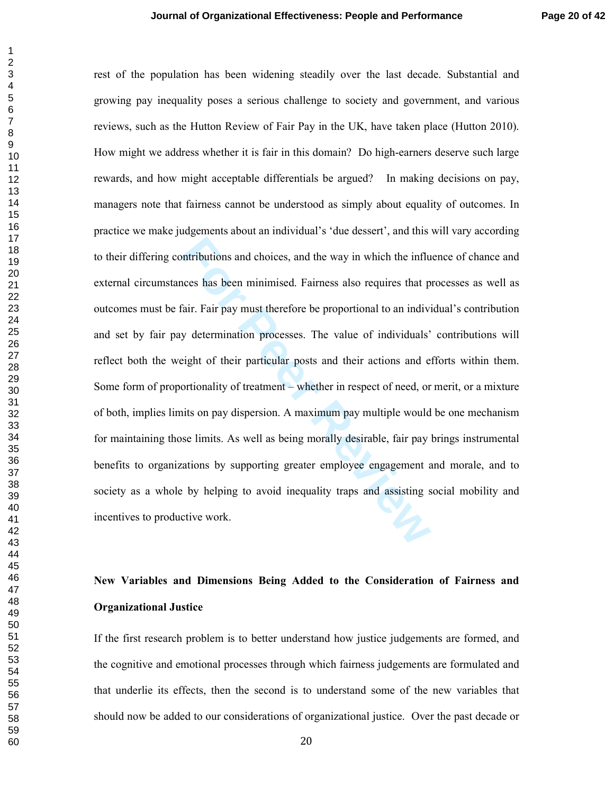Intributions and choices, and the way in which the influces has been minimised. Fairness also requires that p fair. Fair pay must therefore be proportional to an indivity determination processes. The value of individuals' rest of the population has been widening steadily over the last decade. Substantial and growing pay inequality poses a serious challenge to society and government, and various reviews, such as the Hutton Review of Fair Pay in the UK, have taken place (Hutton 2010). How might we address whether it is fair in this domain? Do high-earners deserve such large rewards, and how might acceptable differentials be argued? In making decisions on pay, managers note that fairness cannot be understood as simply about equality of outcomes. In practice we make judgements about an individual's 'due dessert', and this will vary according to their differing contributions and choices, and the way in which the influence of chance and external circumstances has been minimised. Fairness also requires that processes as well as outcomes must be fair. Fair pay must therefore be proportional to an individual's contribution and set by fair pay determination processes. The value of individuals' contributions will reflect both the weight of their particular posts and their actions and efforts within them. Some form of proportionality of treatment – whether in respect of need, or merit, or a mixture of both, implies limits on pay dispersion. A maximum pay multiple would be one mechanism for maintaining those limits. As well as being morally desirable, fair pay brings instrumental benefits to organizations by supporting greater employee engagement and morale, and to society as a whole by helping to avoid inequality traps and assisting social mobility and incentives to productive work.

## **New Variables and Dimensions Being Added to the Consideration of Fairness and Organizational Justice**

If the first research problem is to better understand how justice judgements are formed, and the cognitive and emotional processes through which fairness judgements are formulated and that underlie its effects, then the second is to understand some of the new variables that should now be added to our considerations of organizational justice. Over the past decade or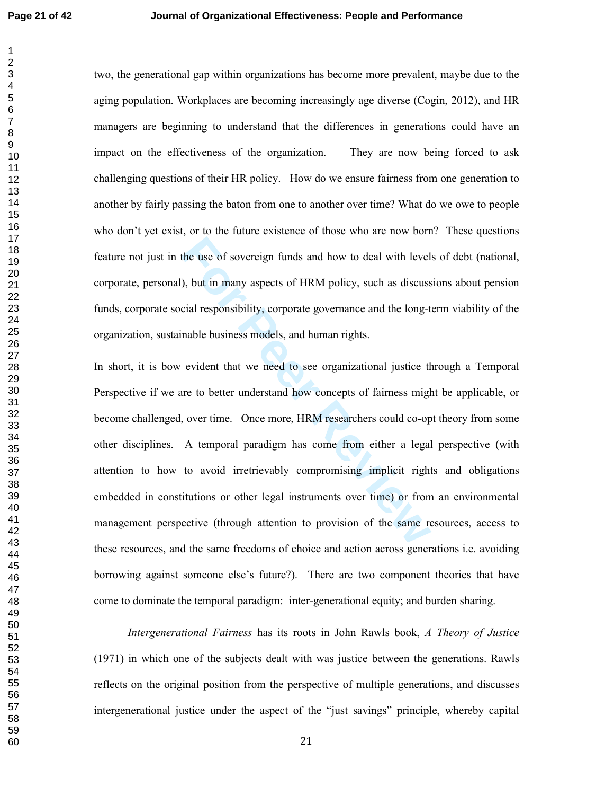two, the generational gap within organizations has become more prevalent, maybe due to the aging population. Workplaces are becoming increasingly age diverse (Cogin, 2012), and HR managers are beginning to understand that the differences in generations could have an impact on the effectiveness of the organization. They are now being forced to ask challenging questions of their HR policy. How do we ensure fairness from one generation to another by fairly passing the baton from one to another over time? What do we owe to people who don't yet exist, or to the future existence of those who are now born? These questions feature not just in the use of sovereign funds and how to deal with levels of debt (national, corporate, personal), but in many aspects of HRM policy, such as discussions about pension funds, corporate social responsibility, corporate governance and the long-term viability of the organization, sustainable business models, and human rights.

the use of sovereign funds and how to deal with level<br> **Formular**), but in many aspects of HRM policy, such as discuss<br>
cial responsibility, corporate governance and the long-t<br>
nable business models, and human rights.<br>
ev In short, it is bow evident that we need to see organizational justice through a Temporal Perspective if we are to better understand how concepts of fairness might be applicable, or become challenged, over time. Once more, HRM researchers could co-opt theory from some other disciplines. A temporal paradigm has come from either a legal perspective (with attention to how to avoid irretrievably compromising implicit rights and obligations embedded in constitutions or other legal instruments over time) or from an environmental management perspective (through attention to provision of the same resources, access to these resources, and the same freedoms of choice and action across generations i.e. avoiding borrowing against someone else's future?). There are two component theories that have come to dominate the temporal paradigm: inter-generational equity; and burden sharing.

*Intergenerational Fairness* has its roots in John Rawls book, *A Theory of Justice* (1971) in which one of the subjects dealt with was justice between the generations. Rawls reflects on the original position from the perspective of multiple generations, and discusses intergenerational justice under the aspect of the "just savings" principle, whereby capital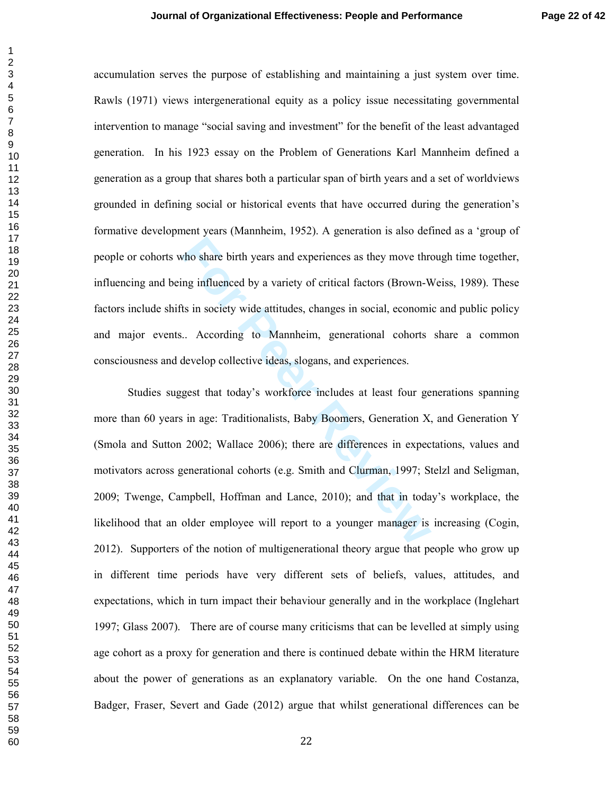accumulation serves the purpose of establishing and maintaining a just system over time. Rawls (1971) views intergenerational equity as a policy issue necessitating governmental intervention to manage "social saving and investment" for the benefit of the least advantaged generation. In his 1923 essay on the Problem of Generations Karl Mannheim defined a generation as a group that shares both a particular span of birth years and a set of worldviews grounded in defining social or historical events that have occurred during the generation's formative development years (Mannheim, 1952). A generation is also defined as a 'group of people or cohorts who share birth years and experiences as they move through time together, influencing and being influenced by a variety of critical factors (Brown-Weiss, 1989). These factors include shifts in society wide attitudes, changes in social, economic and public policy and major events.. According to Mannheim, generational cohorts share a common consciousness and develop collective ideas, slogans, and experiences.

who share birth years and experiences as they move throug influenced by a variety of critical factors (Brown-W<br>the in society wide attitudes, changes in social, economical conducts<br>develop collective ideas, slogans, and ex Studies suggest that today's workforce includes at least four generations spanning more than 60 years in age: Traditionalists, Baby Boomers, Generation X, and Generation Y (Smola and Sutton 2002; Wallace 2006); there are differences in expectations, values and motivators across generational cohorts (e.g. Smith and Clurman, 1997; Stelzl and Seligman, 2009; Twenge, Campbell, Hoffman and Lance, 2010); and that in today's workplace, the likelihood that an older employee will report to a younger manager is increasing (Cogin, 2012). Supporters of the notion of multigenerational theory argue that people who grow up in different time periods have very different sets of beliefs, values, attitudes, and expectations, which in turn impact their behaviour generally and in the workplace (Inglehart 1997; Glass 2007). There are of course many criticisms that can be levelled at simply using age cohort as a proxy for generation and there is continued debate within the HRM literature about the power of generations as an explanatory variable. On the one hand Costanza, Badger, Fraser, Severt and Gade (2012) argue that whilst generational differences can be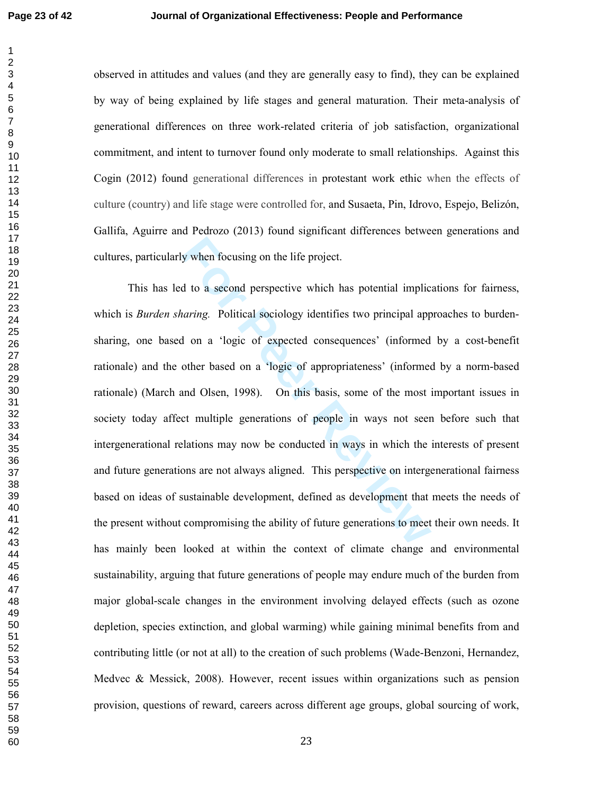observed in attitudes and values (and they are generally easy to find), they can be explained by way of being explained by life stages and general maturation. Their meta-analysis of generational differences on three work-related criteria of job satisfaction, organizational commitment, and intent to turnover found only moderate to small relationships. Against this Cogin (2012) found generational differences in protestant work ethic when the effects of culture (country) and life stage were controlled for, and Susaeta, Pin, Idrovo, Espejo, Belizón, Gallifa, Aguirre and Pedrozo (2013) found significant differences between generations and cultures, particularly when focusing on the life project.

by when focusing on the life project.<br> **Example 15 to a second perspective which has potential implic<br>** *For Peer Review* **and a 'logic of expected consequences' (informed<br>
other based on a 'logic of appropriateness' (inform**  This has led to a second perspective which has potential implications for fairness, which is *Burden sharing.* Political sociology identifies two principal approaches to burdensharing, one based on a 'logic of expected consequences' (informed by a cost-benefit rationale) and the other based on a 'logic of appropriateness' (informed by a norm-based rationale) (March and Olsen, 1998). On this basis, some of the most important issues in society today affect multiple generations of people in ways not seen before such that intergenerational relations may now be conducted in ways in which the interests of present and future generations are not always aligned. This perspective on intergenerational fairness based on ideas of sustainable development, defined as development that meets the needs of the present without compromising the ability of future generations to meet their own needs. It has mainly been looked at within the context of climate change and environmental sustainability, arguing that future generations of people may endure much of the burden from major global-scale changes in the environment involving delayed effects (such as ozone depletion, species extinction, and global warming) while gaining minimal benefits from and contributing little (or not at all) to the creation of such problems (Wade-Benzoni, Hernandez, Medvec & Messick, 2008). However, recent issues within organizations such as pension provision, questions of reward, careers across different age groups, global sourcing of work,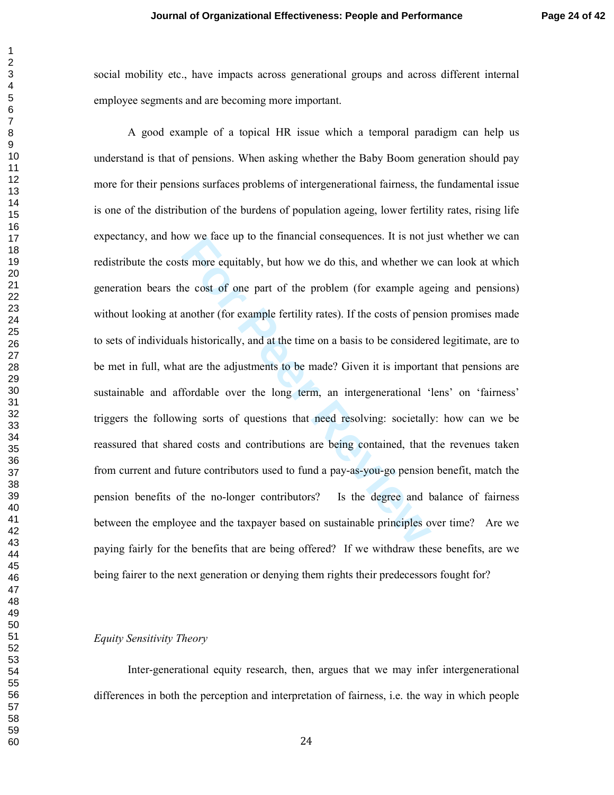social mobility etc., have impacts across generational groups and across different internal employee segments and are becoming more important.

It is more equitably, but how we do this, and whether we<br>to more equitably, but how we do this, and whether we<br>ne cost of one part of the problem (for example age<br>another (for example fertility rates). If the costs of pens A good example of a topical HR issue which a temporal paradigm can help us understand is that of pensions. When asking whether the Baby Boom generation should pay more for their pensions surfaces problems of intergenerational fairness, the fundamental issue is one of the distribution of the burdens of population ageing, lower fertility rates, rising life expectancy, and how we face up to the financial consequences. It is not just whether we can redistribute the costs more equitably, but how we do this, and whether we can look at which generation bears the cost of one part of the problem (for example ageing and pensions) without looking at another (for example fertility rates). If the costs of pension promises made to sets of individuals historically, and at the time on a basis to be considered legitimate, are to be met in full, what are the adjustments to be made? Given it is important that pensions are sustainable and affordable over the long term, an intergenerational 'lens' on 'fairness' triggers the following sorts of questions that need resolving: societally: how can we be reassured that shared costs and contributions are being contained, that the revenues taken from current and future contributors used to fund a pay-as-you-go pension benefit, match the pension benefits of the no-longer contributors? Is the degree and balance of fairness between the employee and the taxpayer based on sustainable principles over time? Are we paying fairly for the benefits that are being offered? If we withdraw these benefits, are we being fairer to the next generation or denying them rights their predecessors fought for?

#### *Equity Sensitivity Theory*

Inter-generational equity research, then, argues that we may infer intergenerational differences in both the perception and interpretation of fairness, i.e. the way in which people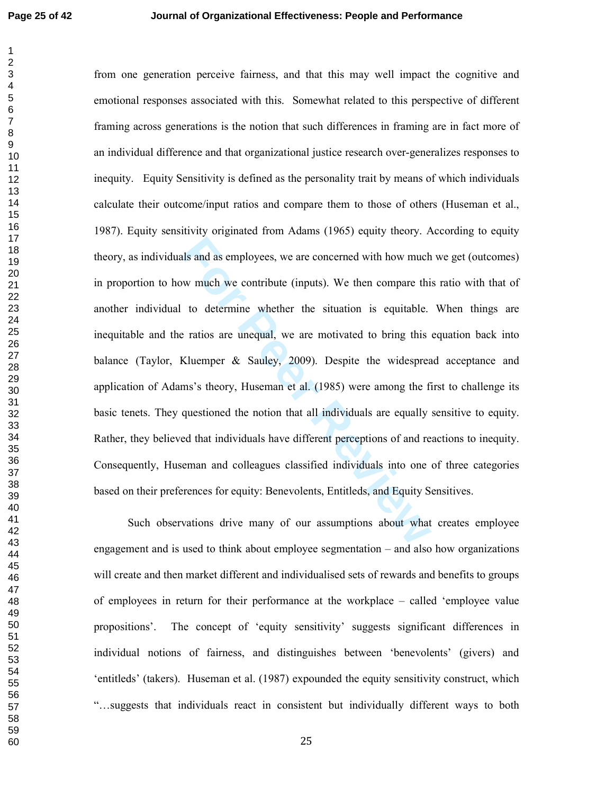$\mathbf{1}$  $\overline{2}$ 

als and as employees, we are concerned with how much<br>w much we contribute (inputs). We then compare thi<br>to determine whether the situation is equitable.<br>Pratios are unequal, we are motivated to bring this<br>Kluemper & Sauley from one generation perceive fairness, and that this may well impact the cognitive and emotional responses associated with this. Somewhat related to this perspective of different framing across generations is the notion that such differences in framing are in fact more of an individual difference and that organizational justice research over-generalizes responses to inequity. Equity Sensitivity is defined as the personality trait by means of which individuals calculate their outcome/input ratios and compare them to those of others (Huseman et al., 1987). Equity sensitivity originated from Adams (1965) equity theory. According to equity theory, as individuals and as employees, we are concerned with how much we get (outcomes) in proportion to how much we contribute (inputs). We then compare this ratio with that of another individual to determine whether the situation is equitable. When things are inequitable and the ratios are unequal, we are motivated to bring this equation back into balance (Taylor, Kluemper & Sauley, 2009). Despite the widespread acceptance and application of Adams's theory, Huseman et al. (1985) were among the first to challenge its basic tenets. They questioned the notion that all individuals are equally sensitive to equity. Rather, they believed that individuals have different perceptions of and reactions to inequity. Consequently, Huseman and colleagues classified individuals into one of three categories based on their preferences for equity: Benevolents, Entitleds, and Equity Sensitives.

Such observations drive many of our assumptions about what creates employee engagement and is used to think about employee segmentation – and also how organizations will create and then market different and individualised sets of rewards and benefits to groups of employees in return for their performance at the workplace – called 'employee value propositions'. The concept of 'equity sensitivity' suggests significant differences in individual notions of fairness, and distinguishes between 'benevolents' (givers) and 'entitleds' (takers). Huseman et al. (1987) expounded the equity sensitivity construct, which "…suggests that individuals react in consistent but individually different ways to both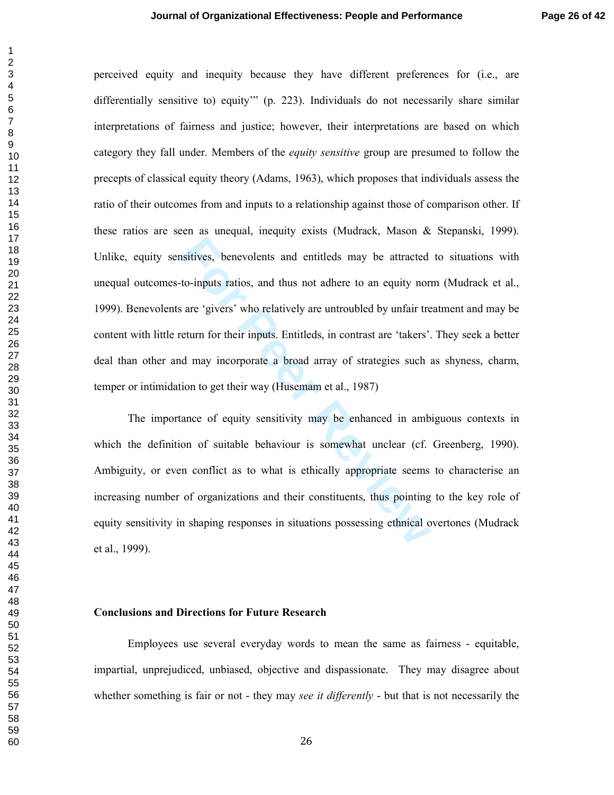sitives, benevolents and entitleds may be attracted<br>to-inputs ratios, and thus not adhere to an equity non<br>are 'givers' who relatively are untroubled by unfair tre<br>eturn for their inputs. Entitleds, in contrast are 'takers perceived equity and inequity because they have different preferences for (i.e., are differentially sensitive to) equity'" (p. 223). Individuals do not necessarily share similar interpretations of fairness and justice; however, their interpretations are based on which category they fall under. Members of the *equity sensitive* group are presumed to follow the precepts of classical equity theory (Adams, 1963), which proposes that individuals assess the ratio of their outcomes from and inputs to a relationship against those of comparison other. If these ratios are seen as unequal, inequity exists (Mudrack, Mason & Stepanski, 1999). Unlike, equity sensitives, benevolents and entitleds may be attracted to situations with unequal outcomes-to-inputs ratios, and thus not adhere to an equity norm (Mudrack et al., 1999). Benevolents are 'givers' who relatively are untroubled by unfair treatment and may be content with little return for their inputs. Entitleds, in contrast are 'takers'. They seek a better deal than other and may incorporate a broad array of strategies such as shyness, charm, temper or intimidation to get their way (Husemam et al., 1987)

The importance of equity sensitivity may be enhanced in ambiguous contexts in which the definition of suitable behaviour is somewhat unclear (cf. Greenberg, 1990). Ambiguity, or even conflict as to what is ethically appropriate seems to characterise an increasing number of organizations and their constituents, thus pointing to the key role of equity sensitivity in shaping responses in situations possessing ethnical overtones (Mudrack et al., 1999).

#### **Conclusions and Directions for Future Research**

Employees use several everyday words to mean the same as fairness - equitable, impartial, unprejudiced, unbiased, objective and dispassionate. They may disagree about whether something is fair or not - they may *see it differently* - but that is not necessarily the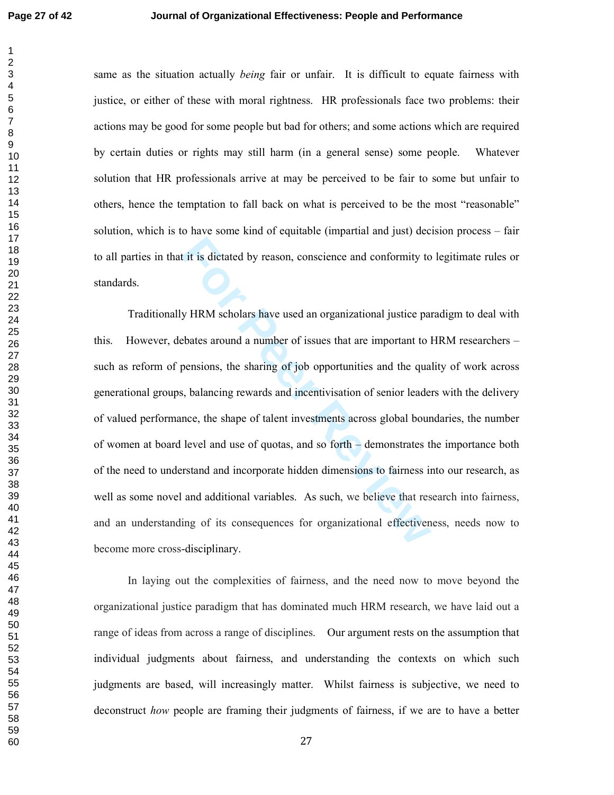same as the situation actually *being* fair or unfair. It is difficult to equate fairness with justice, or either of these with moral rightness. HR professionals face two problems: their actions may be good for some people but bad for others; and some actions which are required by certain duties or rights may still harm (in a general sense) some people. Whatever solution that HR professionals arrive at may be perceived to be fair to some but unfair to others, hence the temptation to fall back on what is perceived to be the most "reasonable" solution, which is to have some kind of equitable (impartial and just) decision process – fair to all parties in that it is dictated by reason, conscience and conformity to legitimate rules or standards.

It is dictated by reason, conscience and conformity to<br>
y HRM scholars have used an organizational justice pare<br>
ebates around a number of issues that are important to l<br>
pensions, the sharing of job opportunities and the Traditionally HRM scholars have used an organizational justice paradigm to deal with this. However, debates around a number of issues that are important to HRM researchers – such as reform of pensions, the sharing of job opportunities and the quality of work across generational groups, balancing rewards and incentivisation of senior leaders with the delivery of valued performance, the shape of talent investments across global boundaries, the number of women at board level and use of quotas, and so forth – demonstrates the importance both of the need to understand and incorporate hidden dimensions to fairness into our research, as well as some novel and additional variables. As such, we believe that research into fairness, and an understanding of its consequences for organizational effectiveness, needs now to become more cross-disciplinary.

In laying out the complexities of fairness, and the need now to move beyond the organizational justice paradigm that has dominated much HRM research, we have laid out a range of ideas from across a range of disciplines. Our argument rests on the assumption that individual judgments about fairness, and understanding the contexts on which such judgments are based, will increasingly matter. Whilst fairness is subjective, we need to deconstruct *how* people are framing their judgments of fairness, if we are to have a better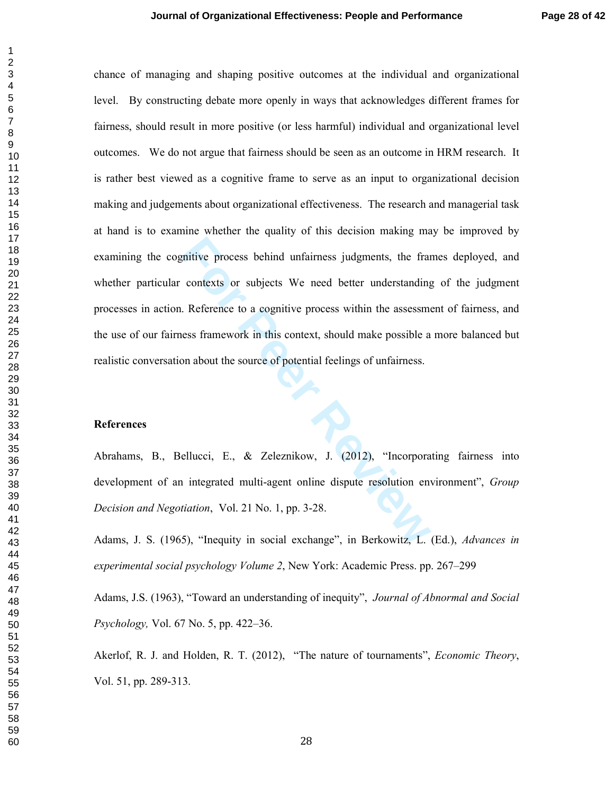mitive process behind unfairness judgments, the frameworks or subjects We need better understanding.<br>
Reference to a cognitive process within the assessme<br>
ress framework in this context, should make possible a<br>
on about t chance of managing and shaping positive outcomes at the individual and organizational level. By constructing debate more openly in ways that acknowledges different frames for fairness, should result in more positive (or less harmful) individual and organizational level outcomes. We do not argue that fairness should be seen as an outcome in HRM research. It is rather best viewed as a cognitive frame to serve as an input to organizational decision making and judgements about organizational effectiveness. The research and managerial task at hand is to examine whether the quality of this decision making may be improved by examining the cognitive process behind unfairness judgments, the frames deployed, and whether particular contexts or subjects We need better understanding of the judgment processes in action. Reference to a cognitive process within the assessment of fairness, and the use of our fairness framework in this context, should make possible a more balanced but realistic conversation about the source of potential feelings of unfairness.

### **References**

Abrahams, B., Bellucci, E., & Zeleznikow, J. (2012), "Incorporating fairness into development of an integrated multi-agent online dispute resolution environment", *Group Decision and Negotiation*, Vol. 21 No. 1, pp. 3-28.

Adams, J. S. (1965), "Inequity in social exchange", in Berkowitz, L. (Ed.), *Advances in experimental social psychology Volume 2*, New York: Academic Press. pp. 267–299

Adams, J.S. (1963), "Toward an understanding of inequity", *Journal of Abnormal and Social Psychology,* Vol. 67 No. 5, pp. 422–36.

Akerlof, R. J. and Holden, R. T. (2012), "The nature of tournaments", *Economic Theory*, Vol. 51, pp. 289-313.

 $\mathbf{1}$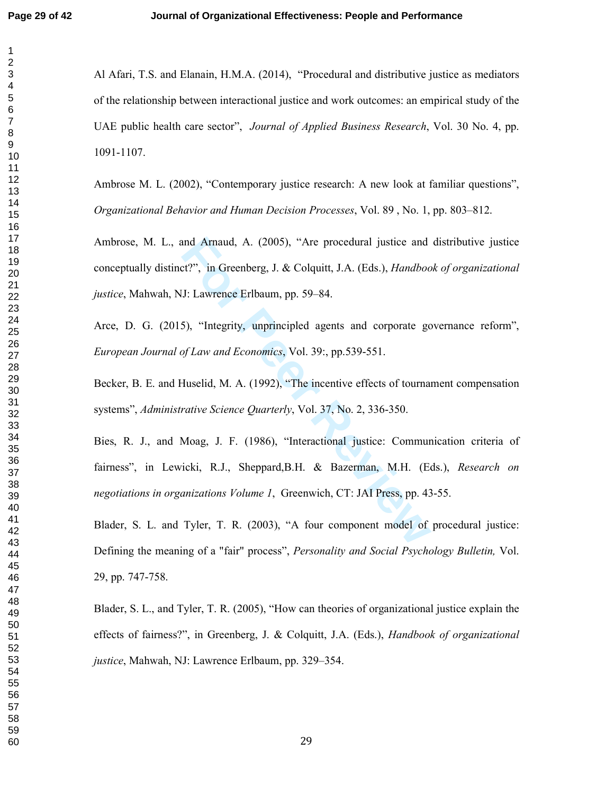Al Afari, T.S. and Elanain, H.M.A. (2014), "Procedural and distributive justice as mediators of the relationship between interactional justice and work outcomes: an empirical study of the UAE public health care sector", *Journal of Applied Business Research*, Vol. 30 No. 4, pp. 1091-1107.

Ambrose M. L. (2002), "Contemporary justice research: A new look at familiar questions", *Organizational Behavior and Human Decision Processe s*, Vol. 89 , No. 1, pp. 803–812.

Ambrose, M. L., and Arnaud, A. (2005), "Are procedural justice and distributive justice conceptually distinct?", in Greenberg, J. & Colquitt, J.A. (Eds.), *Handbook of organizational justice*, Mahwah, NJ: Lawrence Erlbaum, pp. 59–84.

Arce, D. G. (2015), "Integrity, unprincipled agents and corporate governance reform", *European Journal of Law and Economics*, Vol. 39:, pp.539-551.

Becker, B. E. and Huselid, M. A. (1992), "The incentive effects of tournament compensation systems", *Administrative Science Quarterly*, Vol. 37, No. 2, 336-350.

and Arnaud, A. (2005), "Are procedural justice and<br>
Formal control. J. A. (Eds.), *Handboo*<br>
F. Lawrence Erlbaum, pp. 59–84.<br>
5), "Integrity, unprincipled agents and corporate government of Law and Economics, Vol. 39., pp. Bies, R. J., and Moag, J. F. (1986), "Interactional justice: Communication criteria of fairness", in Lewicki, R.J., Sheppard,B.H. & Bazerman, M.H. (Eds.), *Research on negotiations in organizations Volume 1*, Greenwich, CT: JAI Press, pp. 43-55.

Blader, S. L. and Tyler, T. R. (2003), "A four component model of procedural justice: Defining the meaning of a "fair" process", *Personality and Social Psychology Bulletin,* Vol. 29, pp. 747-758.

Blader, S. L., and Tyler, T. R. (2005), "How can theories of organizational justice explain the effects of fairness?", in Greenberg, J. & Colquitt, J.A. (Eds.), *Handbook of organizational justice*, Mahwah, NJ: Lawrence Erlbaum, pp. 329–354.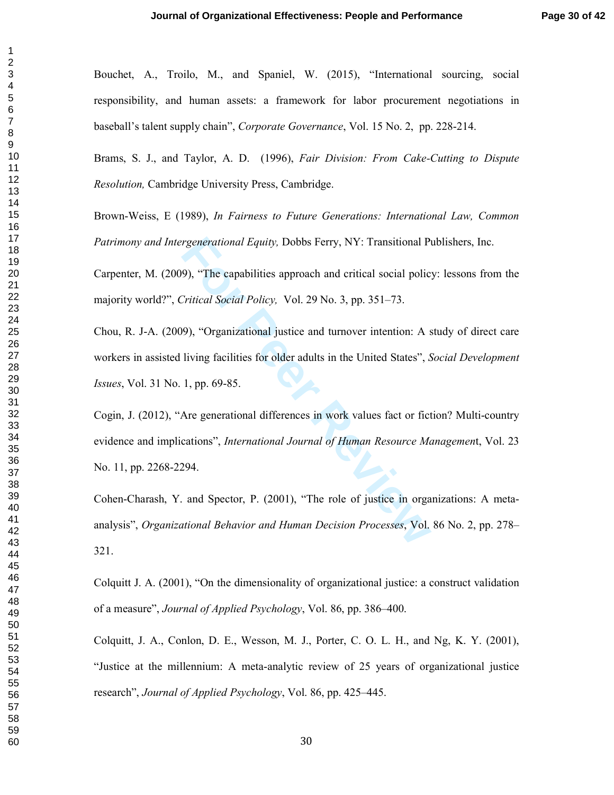Bouchet, A., Troilo, M., and Spaniel, W. (2015), "International sourcing, social responsibility, and human assets: a framework for labor procurement negotiations in baseball's talent supply chain", *Corporate Governance*, Vol. 15 No. 2, pp. 228-214.

Brams, S. J., and Taylor, A. D. (1996), *Fair Division: From Cake-Cutting to Dispute Resolution,* Cambridge University Press, Cambridge.

Brown-Weiss, E (1989), *In Fairness to Future Generations: International Law, Common Patrimony and Intergenerational Equity,* Dobbs Ferry, NY: Transitional Publishers, Inc.

Carpenter, M. (2009), "The capabilities approach and critical social policy: lessons from the majority world?", *Critical Social Policy,* Vol. 29 No. 3, pp. 351–73.

rgenerational Equity, Dobbs Ferry, NY: Transitional P<br>9), "The capabilities approach and critical social polic<br>Critical Social Policy, Vol. 29 No. 3, pp. 351–73.<br>9), "Organizational justice and turnover intention: A s<br>livi Chou, R. J-A. (2009), "Organizational justice and turnover intention: A study of direct care workers in assisted living facilities for older adults in the United States", *Social Development Issues*, Vol. 31 No. 1, pp. 69-85.

Cogin, J. (2012), "Are generational differences in work values fact or fiction? Multi-country evidence and implications", *International Journal of Human Resource Managemen*t, Vol. 23 No. 11, pp. 2268-2294.

Cohen-Charash, Y. and Spector, P. (2001), "The role of justice in organizations: A metaanalysis", *Organizational Behavior and Human Decision Processes*, Vol. 86 No. 2, pp. 278– 321.

Colquitt J. A. (2001), "On the dimensionality of organizational justice: a construct validation of a measure", *Journal of Applied Psychology*, Vol. 86, pp. 386–400.

Colquitt, J. A., Conlon, D. E., Wesson, M. J., Porter, C. O. L. H., and Ng, K. Y. (2001), "Justice at the millennium: A meta-analytic review of 25 years of organizational justice research", *Journal of Applied Psychology*, Vol. 86, pp. 425–445.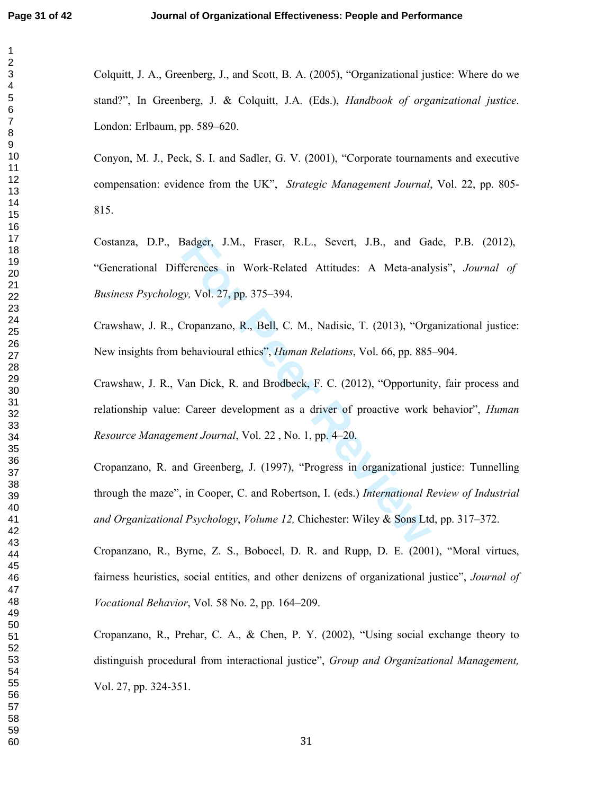Colquitt, J. A., Greenberg, J., and Scott, B. A. (2005), "Organizational justice: Where do we stand?", In Greenberg, J. & Colquitt, J.A. (Eds.), *Handbook of organizational justice*. London: Erlbaum, pp. 589–620.

Conyon, M. J., Peck, S. I. and Sadler, G. V. (2001), "Corporate tournaments and executive compensation: evidence from the UK", *Strategic Management Journal*, Vol. 22, pp. 805- 815.

Costanza, D.P., Badger, J.M., Fraser, R.L., Severt, J.B., and Gade, P.B. (2012), "Generational Differences in Work-Related Attitudes: A Meta-analysis", *Journal of Business Psychology,* Vol. 27, pp. 375–394.

Crawshaw, J. R., Cropanzano, R., Bell, C. M., Nadisic, T. (2013), "Organizational justice: New insights from behavioural ethics", *Human Relations*, Vol. 66, pp. 885–904.

Badger, J.M., Fraser, R.L., Severt, J.B., and Ga<br>ferences in Work-Related Attitudes: A Meta-analy<br>gy, Vol. 27, pp. 375–394.<br>Cropanzano, R., Bell, C. M., Nadisic, T. (2013), "Org<br>behavioural ethics", *Human Relations*, Vol. Crawshaw, J. R., Van Dick, R. and Brodbeck, F. C. (2012), "Opportunity, fair process and relationship value: Career development as a driver of proactive work behavior", *Human Resource Management Journal*, Vol. 22 , No. 1, pp. 4–20.

Cropanzano, R. and Greenberg, J. (1997), "Progress in organizational justice: Tunnelling through the maze", in Cooper, C. and Robertson, I. (eds.) *International Review of Industrial and Organizational Psychology*, *Volume 12,* Chichester: Wiley & Sons Ltd, pp. 317–372.

Cropanzano, R., Byrne, Z. S., Bobocel, D. R. and Rupp, D. E. (2001), "Moral virtues, fairness heuristics, social entities, and other denizens of organizational justice", *Journal of Vocational Behavior*, Vol. 58 No. 2, pp. 164–209.

Cropanzano, R., Prehar, C. A., & Chen, P. Y. (2002), "Using social exchange theory to distinguish procedural from interactional justice", *Group and Organizational Management,*  Vol. 27, pp. 324-351.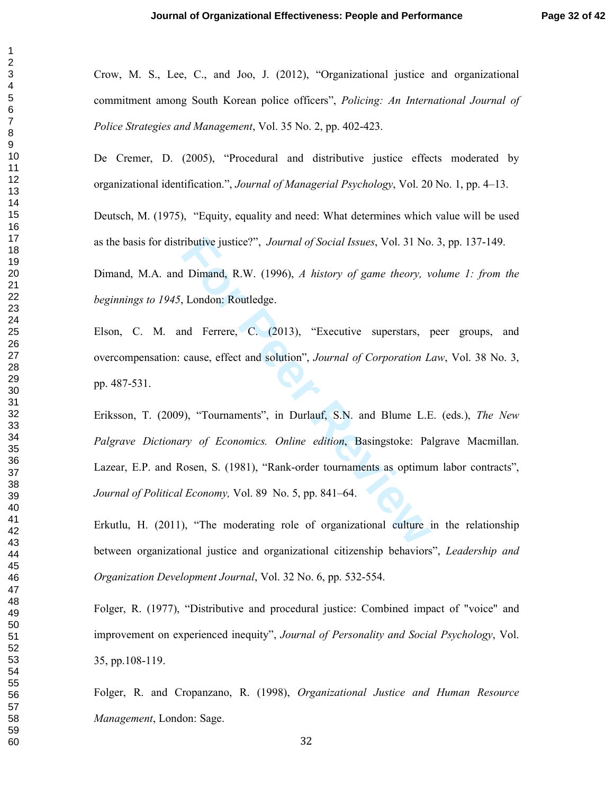Crow, M. S., Lee, C., and Joo, J. (2012), "Organizational justice and organizational commitment among South Korean police officers", *Policing: An International Journal of Police Strategies and Management*, Vol. 35 No. 2, pp. 402-423.

De Cremer, D. (2005), "Procedural and distributive justice effects moderated by organizational identification.", *Journal of Managerial Psychology*, Vol. 20 No. 1, pp. 4–13.

Deutsch, M. (1975), "Equity, equality and need: What determines which value will be used as the basis for distributive justice?", *Journal of Social Issues*, Vol. 31 No. 3, pp. 137-149.

Dimand, M.A. and Dimand, R.W. (1996), *A history of game theory, volume 1: from the beginnings to 1945*, London: Routledge.

Elson, C. M. and Ferrere, C. (2013), "Executive superstars, peer groups, and overcompensation: cause, effect and solution", *Journal of Corporation Law*, Vol. 38 No. 3, pp. 487-531.

ributive justice?", *Journal of Social Issues*, Vol. 31 No<br>
1 Dimand, R.W. (1996), *A history of game theory, v*<br>
1 London: Routledge.<br>
Indepertence, C. (2013), "Executive superstars, 1<br>
cause, effect and solution", *Journ* Eriksson, T. (2009), "Tournaments", in Durlauf, S.N. and Blume L.E. (eds.), *The New Palgrave Dictionary of Economics. Online edition*, Basingstoke: Palgrave Macmillan. Lazear, E.P. and Rosen, S. (1981), "Rank-order tournaments as optimum labor contracts", *Journal of Political Economy,* Vol. 89 No. 5, pp. 841–64.

Erkutlu, H. (2011), "The moderating role of organizational culture in the relationship between organizational justice and organizational citizenship behaviors", *Leadership and Organization Development Journal*, Vol. 32 No. 6, pp. 532-554.

Folger, R. (1977), "Distributive and procedural justice: Combined impact of "voice" and improvement on experienced inequity", *Journal of Personality and Social Psychology*, Vol. 35, pp.108-119.

Folger, R. and Cropanzano, R. (1998), *Organizational Justice and Human Resource Management*, London: Sage.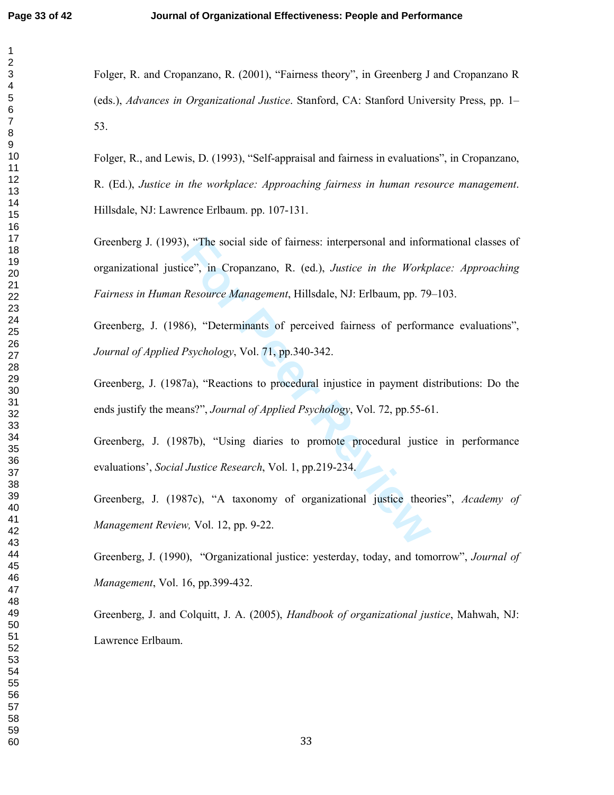Folger, R. and Cropanzano, R. (2001), "Fairness theory", in Greenberg J and Cropanzano R (eds.), *Advances in Organizational Justice*. Stanford, CA: Stanford University Press, pp. 1– 53.

Folger, R., and Lewis, D. (1993), "Self-appraisal and fairness in evaluations", in Cropanzano, R. (Ed.), *Justice in the workplace: Approaching fairness in human resource management*. Hillsdale, NJ: Lawrence Erlbaum. pp. 107-131.

Franch 1, 1907), "The social side of fairness: interpersonal and infor<br>
ice", in Cropanzano, R. (ed.), *Justice in the Workp*<br> *Resource Management*, Hillsdale, NJ: Erlbaum, pp. 79<br>
36), "Determinants of perceived fairness Greenberg J. (1993), "The social side of fairness: interpersonal and informational classes of organizational justice", in Cropanzano, R. (ed.), *Justice in the Workplace: Approaching Fairness in Human Resource Management*, Hillsdale, NJ: Erlbaum, pp. 79–103.

Greenberg, J. (1986), "Determinants of perceived fairness of performance evaluations", *Journal of Applied Psychology*, Vol. 71, pp.340-342.

Greenberg, J. (1987a), "Reactions to procedural injustice in payment distributions: Do the ends justify the means?", *Journal of Applied Psychology*, Vol. 72, pp.55-61.

Greenberg, J. (1987b), "Using diaries to promote procedural justice in performance evaluations', *Social Justice Research*, Vol. 1, pp.219-234.

Greenberg, J. (1987c), "A taxonomy of organizational justice theories", *Academy of Management Review,* Vol. 12, pp. 9-22.

Greenberg, J. (1990), "Organizational justice: yesterday, today, and tomorrow", *Journal of Management*, Vol. 16, pp.399-432.

Greenberg, J. and Colquitt, J. A. (2005), *Handbook of organizational justice*, Mahwah, NJ: Lawrence Erlbaum.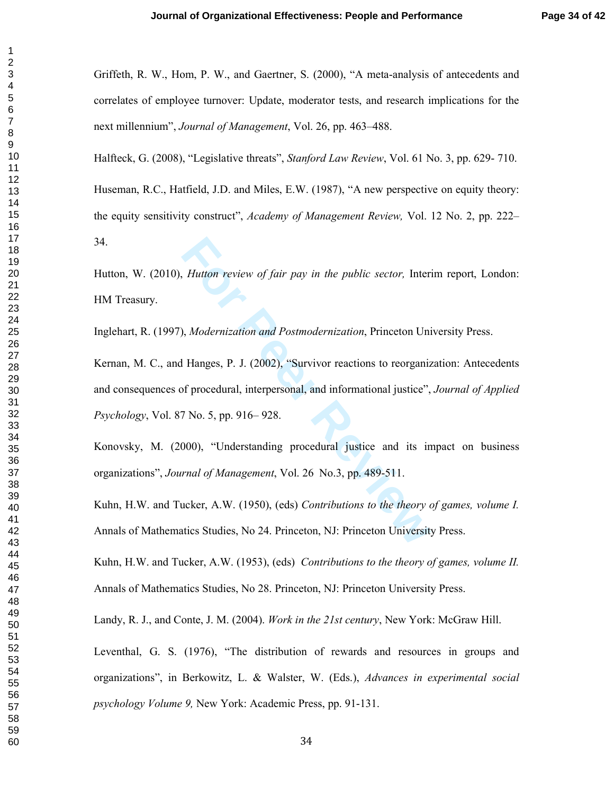Griffeth, R. W., Hom, P. W., and Gaertner, S. (2000), "A meta-analysis of antecedents and correlates of employee turnover: Update, moderator tests, and research implications for the next millennium", *Journal of Management*, Vol. 26, pp. 463–488.

Halfteck, G. (2008), "Legislative threats", *Stanford Law Review*, Vol. 61 No. 3, pp. 629- 710.

Huseman, R.C., Hatfield, J.D. and Miles, E.W. (1987), "A new perspective on equity theory: the equity sensitivity construct", *Academy of Management Review,* Vol. 12 No. 2, pp. 222– 34.

Hutton, W. (2010), *Hutton review of fair pay in the public sector,* Interim report, London: HM Treasury.

Inglehart, R. (1997), *Modernization and Postmodernization*, Princeton University Press.

*For Fortian Hutton review of fair pay in the public sector,* Interaction *For Fortian II*, *Hutton review of fair pay in the public sector,* Interaction *For Portian II* Hanges, P. J. (2002), "Survivor reactions to reorga Kernan, M. C., and Hanges, P. J. (2002), "Survivor reactions to reorganization: Antecedents and consequences of procedural, interpersonal, and informational justice", *Journal of Applied Psychology*, Vol. 87 No. 5, pp. 916– 928.

Konovsky, M. (2000), "Understanding procedural justice and its impact on business organizations", *Journal of Management*, Vol. 26 No.3, pp. 489-511.

Kuhn, H.W. and Tucker, A.W. (1950), (eds) *Contributions to the theory of games, volume I.*  Annals of Mathematics Studies, No 24. Princeton, NJ: Princeton University Press.

Kuhn, H.W. and Tucker, A.W. (1953), (eds) *Contributions to the theory of games, volume II.*  Annals of Mathematics Studies, No 28. Princeton, NJ: Princeton University Press.

Landy, R. J., and Conte, J. M. (2004). *Work in the 21st century*, New York: McGraw Hill.

Leventhal, G. S. (1976), "The distribution of rewards and resources in groups and organizations", in Berkowitz, L. & Walster, W. (Eds.), *Advances in experimental social psychology Volume 9,* New York: Academic Press, pp. 91-131.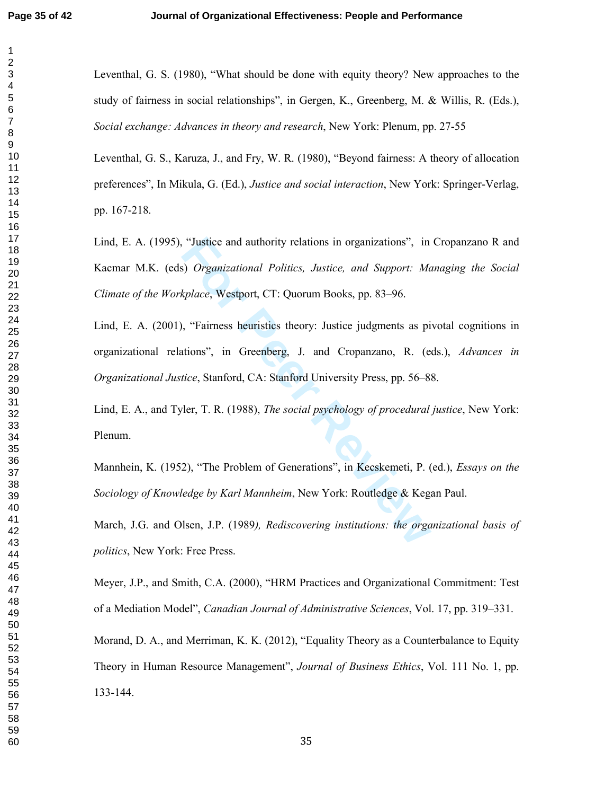Leventhal, G. S. (1980), "What should be done with equity theory? New approaches to the study of fairness in social relationships", in Gergen, K., Greenberg, M. & Willis, R. (Eds.), *Social exchange: Advances in theory and research*, New York: Plenum, pp. 27-55

Leventhal, G. S., Karuza, J., and Fry, W. R. (1980), "Beyond fairness: A theory of allocation preferences", In Mikula, G. (Ed.), *Justice and social interaction*, New York: Springer-Verlag, pp. 167-218.

Fustice and authority relations in organizations", in<br> **For Peer Allence, Messingn Politics**, Justice, and Support: Machine Messings, Dustice, and Support: Machine Messing, Westport, CT: Quorum Books, pp. 83–96.<br> **Follow**: Lind, E. A. (1995), "Justice and authority relations in organizations", in Cropanzano R and Kacmar M.K. (eds) *Organizational Politics, Justice, and Support: Managing the Social Climate of the Workplace*, Westport, CT: Quorum Books, pp. 83–96.

Lind, E. A. (2001), "Fairness heuristics theory: Justice judgments as pivotal cognitions in organizational relations", in Greenberg, J. and Cropanzano, R. (eds.), *Advances in Organizational Justice*, Stanford, CA: Stanford University Press, pp. 56–88.

Lind, E. A., and Tyler, T. R. (1988), *The social psychology of procedural justice*, New York: Plenum.

Mannhein, K. (1952), "The Problem of Generations", in Kecskemeti, P. (ed.), *Essays on the Sociology of Knowledge by Karl Mannheim*, New York: Routledge & Kegan Paul.

March, J.G. and Olsen, J.P. (1989*), Rediscovering institutions: the organizational basis of politics*, New York: Free Press.

Meyer, J.P., and Smith, C.A. (2000), "HRM Practices and Organizational Commitment: Test of a Mediation Model", *Canadian Journal of Administrative Sciences*, Vol. 17, pp. 319–331.

Morand, D. A., and Merriman, K. K. (2012), "Equality Theory as a Counterbalance to Equity Theory in Human Resource Management", *Journal of Business Ethics*, Vol. 111 No. 1, pp. 133-144.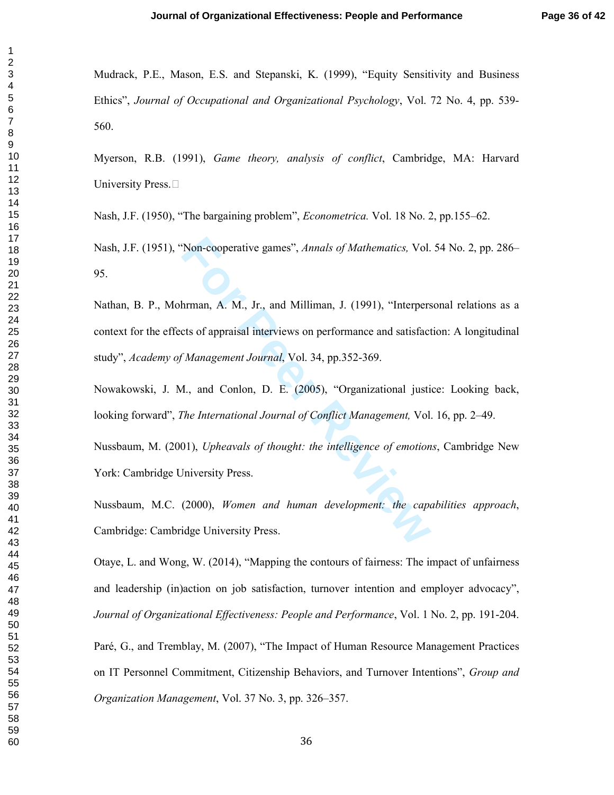Mudrack, P.E., Mason, E.S. and Stepanski, K. (1999), "Equity Sensitivity and Business Ethics", *Journal of Occupational and Organizational Psychology*, Vol. 72 No. 4, pp. 539- 560.

Myerson, R.B. (1991), *Game theory, analysis of conflict*, Cambridge, MA: Harvard University Press.V

Nash, J.F. (1950), "The bargaining problem", *Econometrica.* Vol. 18 No. 2, pp.155–62.

Nash, J.F. (1951), "Non-cooperative games", *Annals of Mathematics,* Vol. 54 No. 2, pp. 286– 95.

**From-cooperative games**", *Annals of Mathematics*, Vol.<br>
hrman, A. M., Jr., and Milliman, J. (1991), "Interpers<br>
cts of appraisal interviews on performance and satisfact<br>
f Management Journal, Vol. 34, pp.352-369.<br>
4., an Nathan, B. P., Mohrman, A. M., Jr., and Milliman, J. (1991), "Interpersonal relations as a context for the effects of appraisal interviews on performance and satisfaction: A longitudinal study", *Academy of Management Journal*, Vol. 34, pp.352-369.

Nowakowski, J. M., and Conlon, D. E. (2005), "Organizational justice: Looking back, looking forward", *The International Journal of Conflict Management,* Vol. 16, pp. 2–49.

Nussbaum, M. (2001), *Upheavals of thought: the intelligence of emotions*, Cambridge New York: Cambridge University Press.

Nussbaum, M.C. (2000), *Women and human development: the capabilities approach*, Cambridge: Cambridge University Press.

Otaye, L. and Wong, W. (2014), "Mapping the contours of fairness: The impact of unfairness and leadership (in)action on job satisfaction, turnover intention and employer advocacy", *Journal of Organizational Effectiveness: People and Performance*, Vol. 1 No. 2, pp. 191-204.

Paré, G., and Tremblay, M. (2007), "The Impact of Human Resource Management Practices on IT Personnel Commitment, Citizenship Behaviors, and Turnover Intentions", *Group and Organization Management*, Vol. 37 No. 3, pp. 326–357.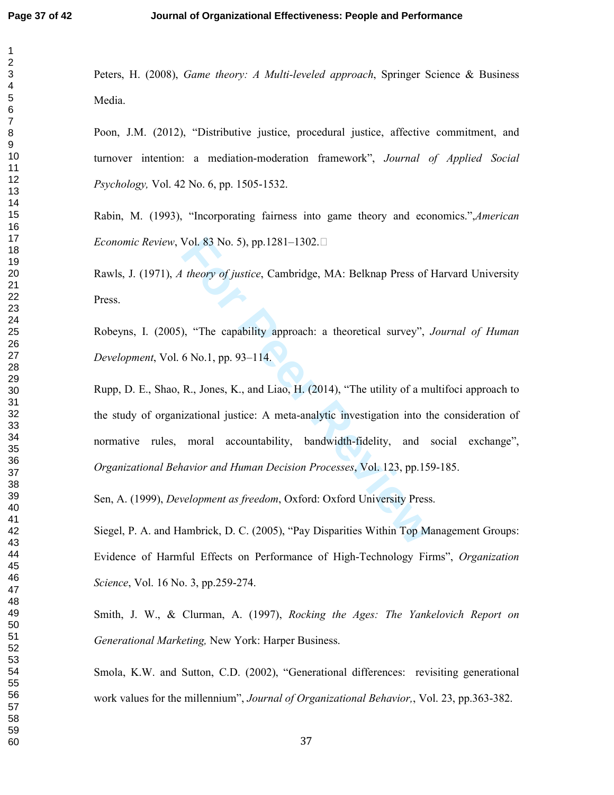Peters, H. (2008), *Game theory: A Multi-leveled approach*, Springer Science & Business Media.

Poon, J.M. (2012), "Distributive justice, procedural justice, affective commitment, and turnover intention: a mediation-moderation framework", *Journal of Applied Social Psychology,* Vol. 42 No. 6, pp. 1505-1532.

Rabin, M. (1993), "Incorporating fairness into game theory and economics.",*American Economic Review*, Vol. 83 No. 5), pp.1281–1302.V

Rawls, J. (1971), *A theory of justice*, Cambridge, MA: Belknap Press of Harvard University Press.

Robeyns, I. (2005), "The capability approach: a theoretical survey", *Journal of Human Development*, Vol. 6 No.1, pp. 93–114.

Vol. 83 No. 5), pp.1281–1302.V<br> *I theory of justice*, Cambridge, MA: Belknap Press of 1<br>
), "The capability approach: a theoretical survey", .<br>
6 No.1, pp. 93–114.<br>
R., Jones, K., and Liao, H. (2014), "The utility of a mi Rupp, D. E., Shao, R., Jones, K., and Liao, H. (2014), "The utility of a multifoci approach to the study of organizational justice: A meta-analytic investigation into the consideration of normative rules, moral accountability, bandwidth-fidelity, and social exchange", *Organizational Behavior and Human Decision Processe s*, Vol. 123, pp.159-185.

Sen, A. (1999), *Development as freedom*, Oxford: Oxford University Press.

Siegel, P. A. and Hambrick, D. C. (2005), "Pay Disparities Within Top Management Groups: Evidence of Harmful Effects on Performance of High-Technology Firms", *Organization Science*, Vol. 16 No. 3, pp.259-274.

Smith, J. W., & Clurman, A. (1997), *Rocking the Ages: The Yankelovich Report on Generational Marketing,* New York: Harper Business.

Smola, K.W. and Sutton, C.D. (2002), "Generational differences: revisiting generational work values for the millennium", *Journal of Organizational Behavior,*, Vol. 23, pp.363-382.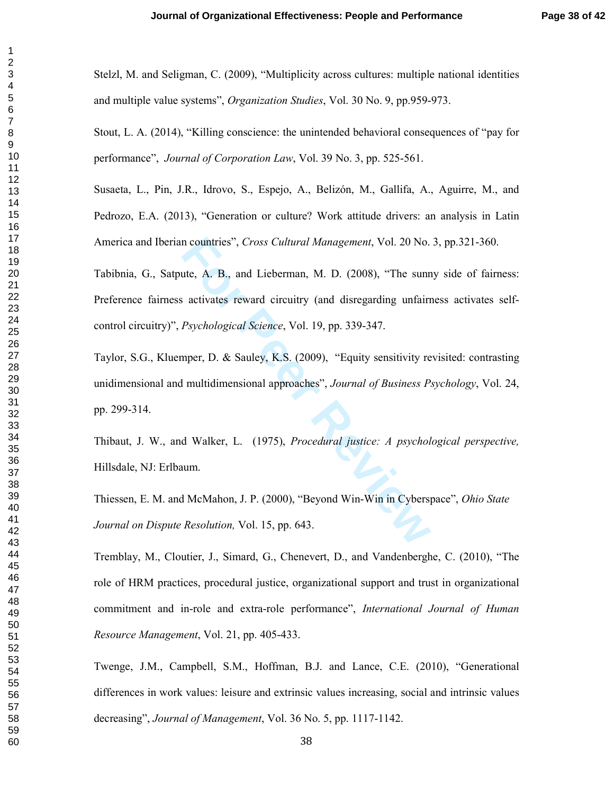Stelzl, M. and Seligman, C. (2009), "Multiplicity across cultures: multiple national identities and multiple value systems", *Organization Studies*, Vol. 30 No. 9, pp.959-973.

Stout, L. A. (2014), "Killing conscience: the unintended behavioral consequences of "pay for performance", *Journal of Corporation Law*, Vol. 39 No. 3, pp. 525-561.

Susaeta, L., Pin, J.R., Idrovo, S., Espejo, A., Belizón, M., Gallifa, A., Aguirre, M., and Pedrozo, E.A. (2013), "Generation or culture? Work attitude drivers: an analysis in Latin America and Iberian countries", *Cross Cultural Management*, Vol. 20 No. 3, pp.321-360.

m countries", *Cross Cultural Management*, Vol. 20 No.<br>
Hute, A. B., and Lieberman, M. D. (2008), "The sunn<br>
activates reward circuitry (and disregarding unfair<br> *Psychological Science*, Vol. 19, pp. 339-347.<br>
mper, D. & S Tabibnia, G., Satpute, A. B., and Lieberman, M. D. (2008), "The sunny side of fairness: Preference fairness activates reward circuitry (and disregarding unfairness activates selfcontrol circuitry)", *Psychological Science*, Vol. 19, pp. 339-347.

Taylor, S.G., Kluemper, D. & Sauley, K.S. (2009), "Equity sensitivity revisited: contrasting unidimensional and multidimensional approaches", *Journal of Business Psychology*, Vol. 24, pp. 299-314.

Thibaut, J. W., and Walker, L. (1975), *Procedural justice: A psychological perspective,*  Hillsdale, NJ: Erlbaum.

Thiessen, E. M. and McMahon, J. P. (2000), "Beyond Win-Win in Cyberspace", *Ohio State Journal on Dispute Resolution,* Vol. 15, pp. 643.

Tremblay, M., Cloutier, J., Simard, G., Chenevert, D., and Vandenberghe, C. (2010), "The role of HRM practices, procedural justice, organizational support and trust in organizational commitment and in-role and extra-role performance", *International Journal of Human Resource Management*, Vol. 21, pp. 405-433.

Twenge, J.M., Campbell, S.M., Hoffman, B.J. and Lance, C.E. (2010), "Generational differences in work values: leisure and extrinsic values increasing, social and intrinsic values decreasing", *Journal of Management*, Vol. 36 No. 5, pp. 1117-1142.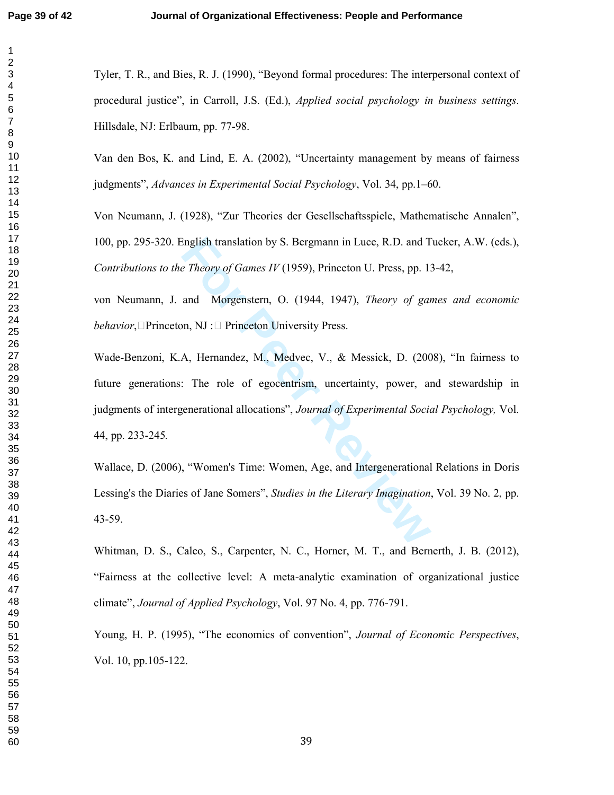Tyler, T. R., and Bies, R. J. (1990), "Beyond formal procedures: The interpersonal context of procedural justice", in Carroll, J.S. (Ed.), *Applied social psychology in business settings*. Hillsdale, NJ: Erlbaum, pp. 77-98.

Van den Bos, K. and Lind, E. A. (2002), "Uncertainty management by means of fairness judgments", *Advances in Experimental Social Psychology*, Vol. 34, pp.1–60.

Von Neumann, J. (1928), "Zur Theories der Gesellschaftsspiele, Mathematische Annalen", 100, pp. 295-320. English translation by S. Bergmann in Luce, R.D. and Tucker, A.W. (eds.), *Contributions to the Theory of Games IV* (1959), Princeton U. Press, pp. 13-42,

von Neumann, J. and Morgenstern, O. (1944, 1947), *Theory of games and economic behavior*,VPrinceton, NJ :V Princeton University Press.

English translation by S. Bergmann in Luce, R.D. and T<br> *E Theory of Games IV* (1959), Princeton U. Press, pp. 12<br>
and Morgenstern, O. (1944, 1947), *Theory of gan*<br>
on, NJ : V Princeton University Press.<br>
A, Hernandez, M. Wade-Benzoni, K.A, Hernandez, M., Medvec, V., & Messick, D. (2008), "In fairness to future generations: The role of egocentrism, uncertainty, power, and stewardship in judgments of intergenerational allocations", *Journal of Experimental Social Psychology,* Vol. 44, pp. 233-245*.* 

Wallace, D. (2006), "Women's Time: Women, Age, and Intergenerational Relations in Doris Lessing's the Diaries of Jane Somers", *Studies in the Literary Imagination*, Vol. 39 No. 2, pp. 43-59.

Whitman, D. S., Caleo, S., Carpenter, N. C., Horner, M. T., and Bernerth, J. B. (2012), "Fairness at the collective level: A meta-analytic examination of organizational justice climate", *Journal of Applied Psychology*, Vol. 97 No. 4, pp. 776-791.

Young, H. P. (1995), "The economics of convention", *Journal of Economic Perspectives*, Vol. 10, pp.105-122.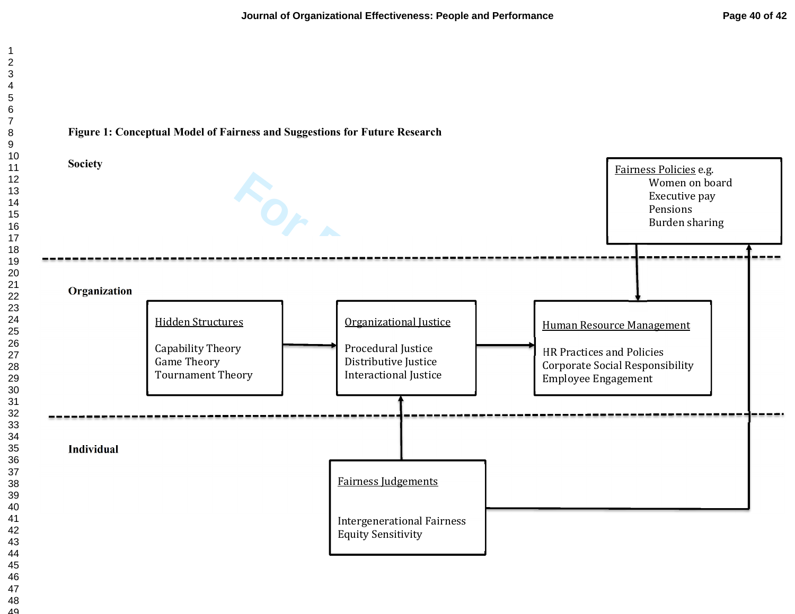

49

1